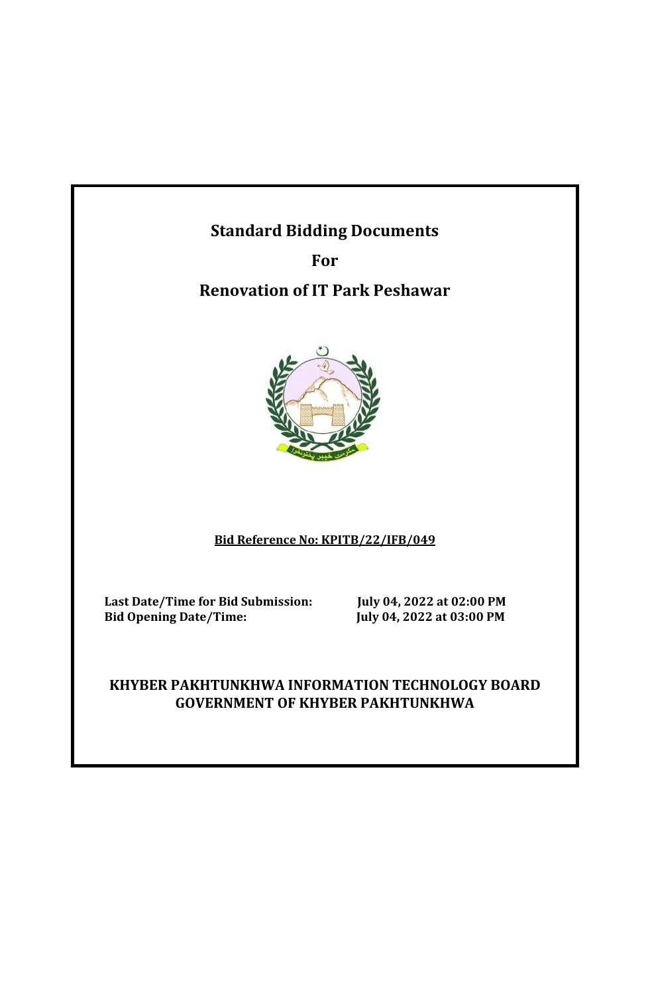# **Standard Bidding Documents**

**For Renovation of IT Park Peshawar** 



# **Bid Reference No: KPITB/22/IFB/049**

Last Date/Time for Bid Submission: July 04, 2022 at 02:00 PM<br>Bid Opening Date/Time: July 04, 2022 at 03:00 PM

 **Bid Opening Date/Time: July 04, 2022 at 03:00 PM**

## **KHYBER PAKHTUNKHWA INFORMATION TECHNOLOGY BOARD GOVERNMENT OF KHYBER PAKHTUNKHWA**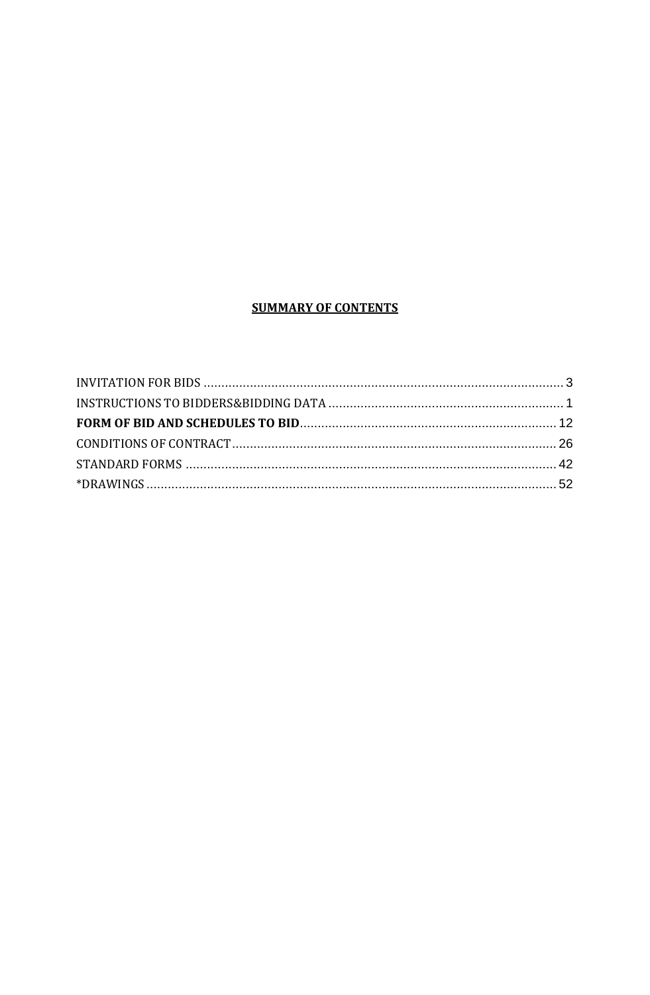#### **SUMMARY OF CONTENTS**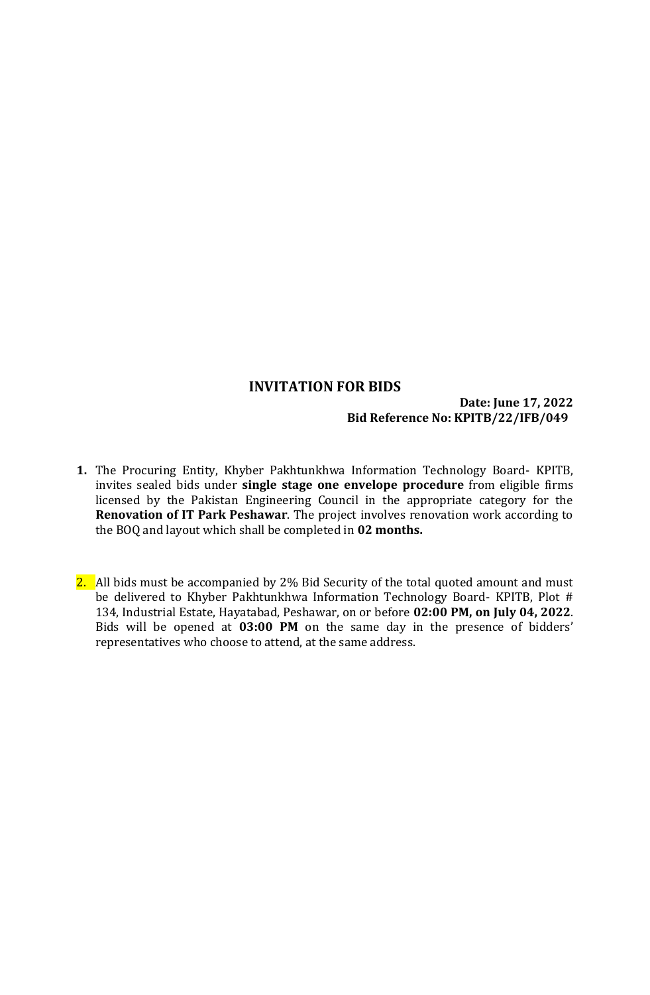#### **INVITATION FOR BIDS**

#### **Date: June 17, 2022 Bid Reference No: KPITB/22/IFB/049**

- <span id="page-2-0"></span>**1.** The Procuring Entity, Khyber Pakhtunkhwa Information Technology Board- KPITB, invites sealed bids under **single stage one envelope procedure** from eligible firms licensed by the Pakistan Engineering Council in the appropriate category for the **Renovation of IT Park Peshawar**. The project involves renovation work according to the BOQ and layout which shall be completed in **02 months.**
- 2. All bids must be accompanied by 2% Bid Security of the total quoted amount and must be delivered to Khyber Pakhtunkhwa Information Technology Board- KPITB, Plot # 134, Industrial Estate, Hayatabad, Peshawar, on or before **02:00 PM, on July 04, 2022**. Bids will be opened at **03:00 PM** on the same day in the presence of bidders' representatives who choose to attend, at the same address.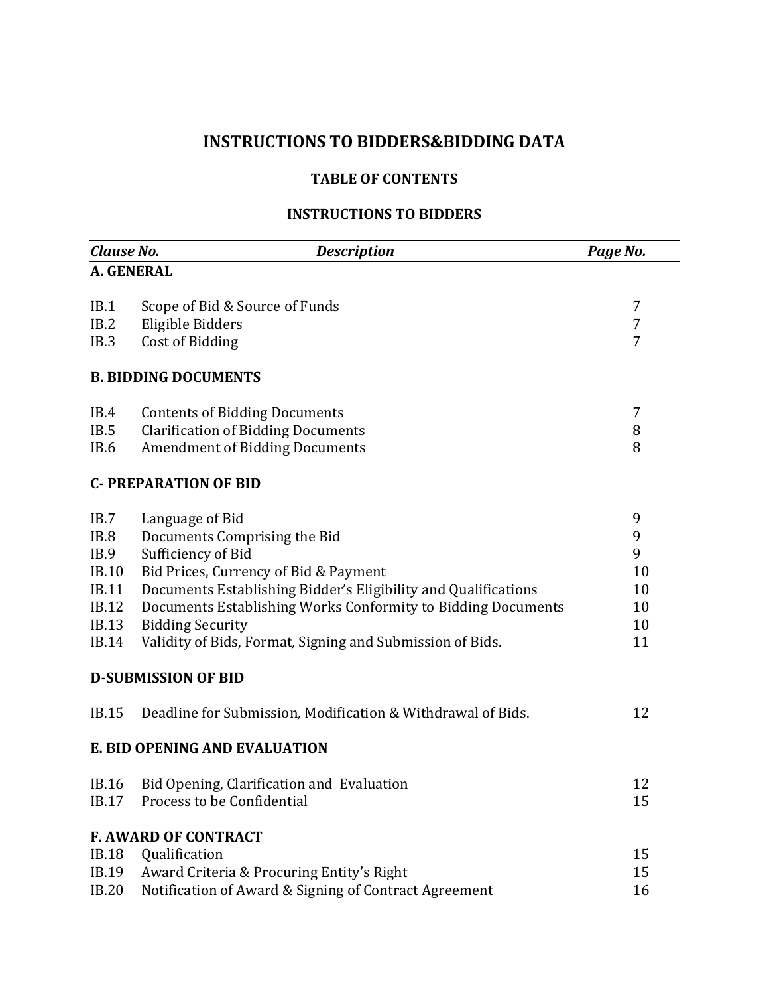# **INSTRUCTIONS TO BIDDERS&BIDDING DATA**

#### **TABLE OF CONTENTS**

#### **INSTRUCTIONS TO BIDDERS**

<span id="page-3-0"></span>

| Clause No.                                                                                           | <b>Description</b>                                                                                                                                                                                                                                                                                                                       | Page No.                                  |
|------------------------------------------------------------------------------------------------------|------------------------------------------------------------------------------------------------------------------------------------------------------------------------------------------------------------------------------------------------------------------------------------------------------------------------------------------|-------------------------------------------|
| A. GENERAL                                                                                           |                                                                                                                                                                                                                                                                                                                                          |                                           |
| IB.1<br>IB.2<br>IB.3                                                                                 | Scope of Bid & Source of Funds<br>Eligible Bidders<br>Cost of Bidding                                                                                                                                                                                                                                                                    | 7<br>7<br>7                               |
|                                                                                                      | <b>B. BIDDING DOCUMENTS</b>                                                                                                                                                                                                                                                                                                              |                                           |
| IB.4<br>IB.5<br>IB.6                                                                                 | <b>Contents of Bidding Documents</b><br><b>Clarification of Bidding Documents</b><br><b>Amendment of Bidding Documents</b>                                                                                                                                                                                                               | 7<br>8<br>8                               |
|                                                                                                      | <b>C- PREPARATION OF BID</b>                                                                                                                                                                                                                                                                                                             |                                           |
| IB.7<br>IB.8<br>IB.9<br><b>IB.10</b><br><b>IB.11</b><br><b>IB.12</b><br><b>IB.13</b><br><b>IB.14</b> | Language of Bid<br>Documents Comprising the Bid<br>Sufficiency of Bid<br>Bid Prices, Currency of Bid & Payment<br>Documents Establishing Bidder's Eligibility and Qualifications<br>Documents Establishing Works Conformity to Bidding Documents<br><b>Bidding Security</b><br>Validity of Bids, Format, Signing and Submission of Bids. | 9<br>9<br>9<br>10<br>10<br>10<br>10<br>11 |
|                                                                                                      | <b>D-SUBMISSION OF BID</b>                                                                                                                                                                                                                                                                                                               |                                           |
| IB.15                                                                                                | Deadline for Submission, Modification & Withdrawal of Bids.                                                                                                                                                                                                                                                                              | 12                                        |
|                                                                                                      | E. BID OPENING AND EVALUATION                                                                                                                                                                                                                                                                                                            |                                           |
| IB.16<br>IB.17                                                                                       | Bid Opening, Clarification and Evaluation<br>Process to be Confidential                                                                                                                                                                                                                                                                  | 12<br>15                                  |
| <b>IB.18</b><br>IB.19<br><b>IB.20</b>                                                                | <b>F. AWARD OF CONTRACT</b><br>Qualification<br>Award Criteria & Procuring Entity's Right<br>Notification of Award & Signing of Contract Agreement                                                                                                                                                                                       | 15<br>15<br>16                            |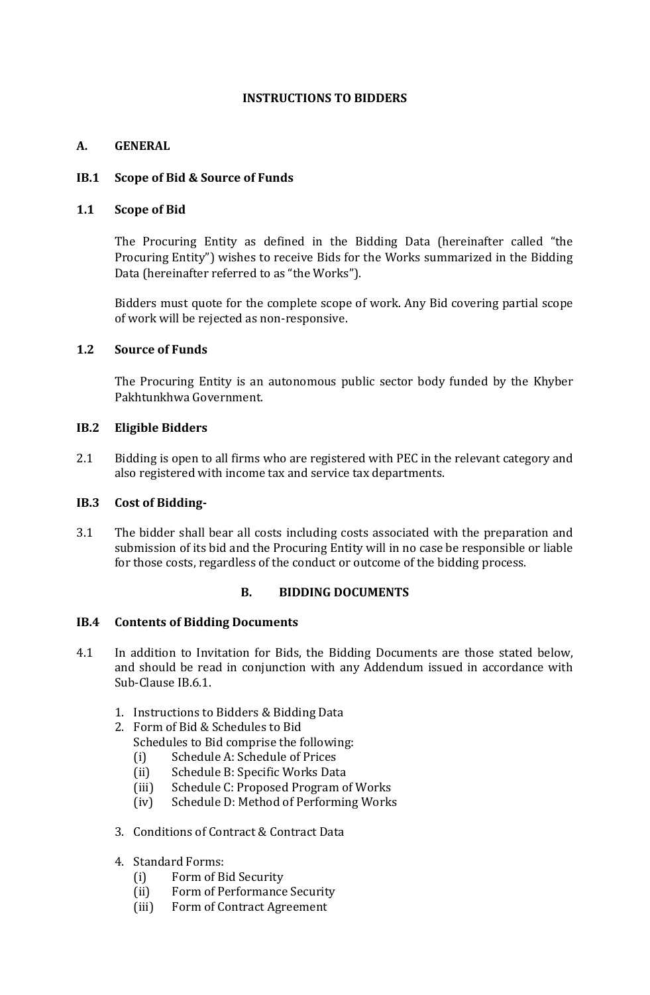#### **INSTRUCTIONS TO BIDDERS**

#### **A. GENERAL**

#### **IB.1 Scope of Bid & Source of Funds**

#### **1.1 Scope of Bid**

The Procuring Entity as defined in the Bidding Data (hereinafter called "the Procuring Entity") wishes to receive Bids for the Works summarized in the Bidding Data (hereinafter referred to as "the Works").

Bidders must quote for the complete scope of work. Any Bid covering partial scope of work will be rejected as non-responsive.

#### **1.2 Source of Funds**

The Procuring Entity is an autonomous public sector body funded by the Khyber Pakhtunkhwa Government.

#### **IB.2 Eligible Bidders**

2.1 Bidding is open to all firms who are registered with PEC in the relevant category and also registered with income tax and service tax departments.

#### **IB.3 Cost of Bidding-**

3.1 The bidder shall bear all costs including costs associated with the preparation and submission of its bid and the Procuring Entity will in no case be responsible or liable for those costs, regardless of the conduct or outcome of the bidding process.

#### **B. BIDDING DOCUMENTS**

#### **IB.4 Contents of Bidding Documents**

- 4.1 In addition to Invitation for Bids, the Bidding Documents are those stated below, and should be read in conjunction with any Addendum issued in accordance with Sub-Clause IB.6.1.
	- 1. Instructions to Bidders & Bidding Data
	- 2. Form of Bid & Schedules to Bid Schedules to Bid comprise the following:
		- (i) Schedule A: Schedule of Prices
		- (ii) Schedule B: Specific Works Data
		- (iii) Schedule C: Proposed Program of Works
		- (iv) Schedule D: Method of Performing Works
	- 3. Conditions of Contract & Contract Data
	- 4. Standard Forms:
		- (i) Form of Bid Security
		- (ii) Form of Performance Security
		- (iii) Form of Contract Agreement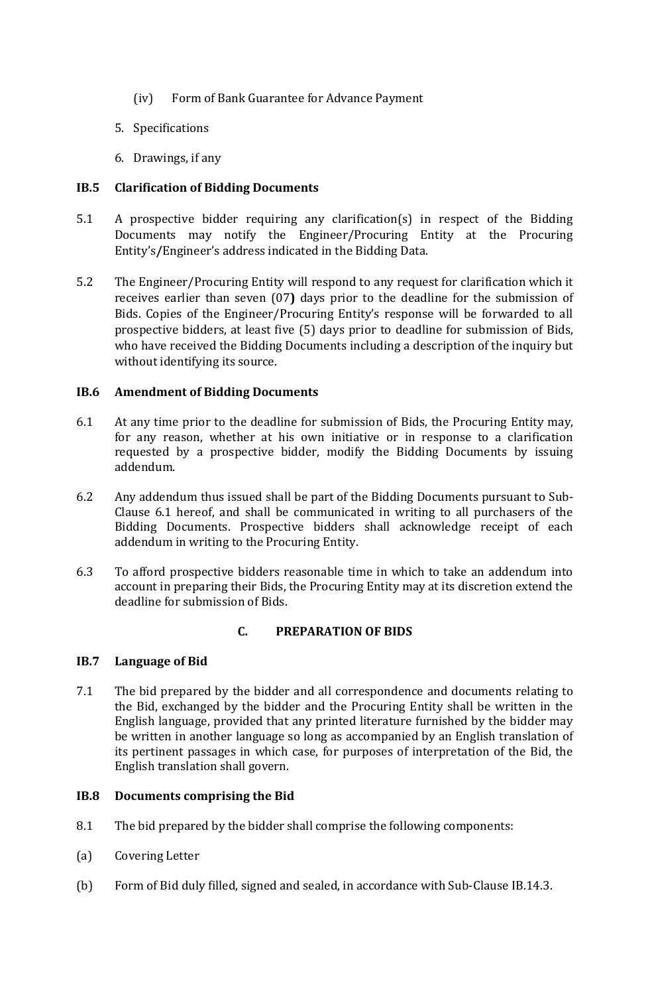- (iv) Form of Bank Guarantee for Advance Payment
- 5. Specifications
- 6. Drawings, if any

#### **IB.5 Clarification of Bidding Documents**

- 5.1 A prospective bidder requiring any clarification(s) in respect of the Bidding Documents may notify the Engineer/Procuring Entity at the Procuring Entity's**/**Engineer's address indicated in the Bidding Data.
- 5.2 The Engineer/Procuring Entity will respond to any request for clarification which it receives earlier than seven (07**)** days prior to the deadline for the submission of Bids. Copies of the Engineer/Procuring Entity's response will be forwarded to all prospective bidders, at least five (5) days prior to deadline for submission of Bids, who have received the Bidding Documents including a description of the inquiry but without identifying its source.

#### **IB.6 Amendment of Bidding Documents**

- 6.1 At any time prior to the deadline for submission of Bids, the Procuring Entity may, for any reason, whether at his own initiative or in response to a clarification requested by a prospective bidder, modify the Bidding Documents by issuing addendum.
- 6.2 Any addendum thus issued shall be part of the Bidding Documents pursuant to Sub-Clause 6.1 hereof, and shall be communicated in writing to all purchasers of the Bidding Documents. Prospective bidders shall acknowledge receipt of each addendum in writing to the Procuring Entity.
- 6.3 To afford prospective bidders reasonable time in which to take an addendum into account in preparing their Bids, the Procuring Entity may at its discretion extend the deadline for submission of Bids.

#### **C. PREPARATION OF BIDS**

#### **IB.7 Language of Bid**

7.1 The bid prepared by the bidder and all correspondence and documents relating to the Bid, exchanged by the bidder and the Procuring Entity shall be written in the English language, provided that any printed literature furnished by the bidder may be written in another language so long as accompanied by an English translation of its pertinent passages in which case, for purposes of interpretation of the Bid, the English translation shall govern.

#### **IB.8 Documents comprising the Bid**

- 8.1 The bid prepared by the bidder shall comprise the following components:
- (a) Covering Letter
- (b) Form of Bid duly filled, signed and sealed, in accordance with Sub-Clause IB.14.3.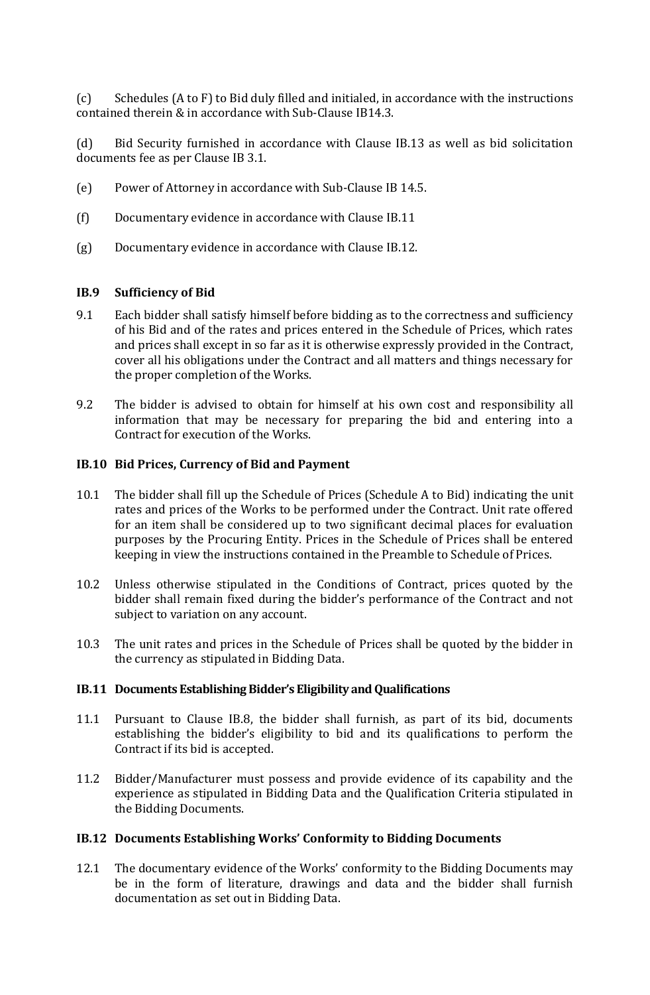(c) Schedules (A to F) to Bid duly filled and initialed, in accordance with the instructions contained therein & in accordance with Sub-Clause IB14.3.

(d) Bid Security furnished in accordance with Clause IB.13 as well as bid solicitation documents fee as per Clause IB 3.1.

- (e) Power of Attorney in accordance with Sub-Clause IB 14.5.
- (f) Documentary evidence in accordance with Clause IB.11
- (g) Documentary evidence in accordance with Clause IB.12.

#### **IB.9 Sufficiency of Bid**

- 9.1 Each bidder shall satisfy himself before bidding as to the correctness and sufficiency of his Bid and of the rates and prices entered in the Schedule of Prices, which rates and prices shall except in so far as it is otherwise expressly provided in the Contract, cover all his obligations under the Contract and all matters and things necessary for the proper completion of the Works.
- 9.2 The bidder is advised to obtain for himself at his own cost and responsibility all information that may be necessary for preparing the bid and entering into a Contract for execution of the Works.

#### **IB.10 Bid Prices, Currency of Bid and Payment**

- 10.1 The bidder shall fill up the Schedule of Prices (Schedule A to Bid) indicating the unit rates and prices of the Works to be performed under the Contract. Unit rate offered for an item shall be considered up to two significant decimal places for evaluation purposes by the Procuring Entity. Prices in the Schedule of Prices shall be entered keeping in view the instructions contained in the Preamble to Schedule of Prices.
- 10.2 Unless otherwise stipulated in the Conditions of Contract, prices quoted by the bidder shall remain fixed during the bidder's performance of the Contract and not subject to variation on any account.
- 10.3 The unit rates and prices in the Schedule of Prices shall be quoted by the bidder in the currency as stipulated in Bidding Data.

#### **IB.11 Documents Establishing Bidder's Eligibility and Qualifications**

- 11.1 Pursuant to Clause IB.8, the bidder shall furnish, as part of its bid, documents establishing the bidder's eligibility to bid and its qualifications to perform the Contract if its bid is accepted.
- 11.2 Bidder/Manufacturer must possess and provide evidence of its capability and the experience as stipulated in Bidding Data and the Qualification Criteria stipulated in the Bidding Documents.

#### **IB.12 Documents Establishing Works' Conformity to Bidding Documents**

12.1 The documentary evidence of the Works' conformity to the Bidding Documents may be in the form of literature, drawings and data and the bidder shall furnish documentation as set out in Bidding Data.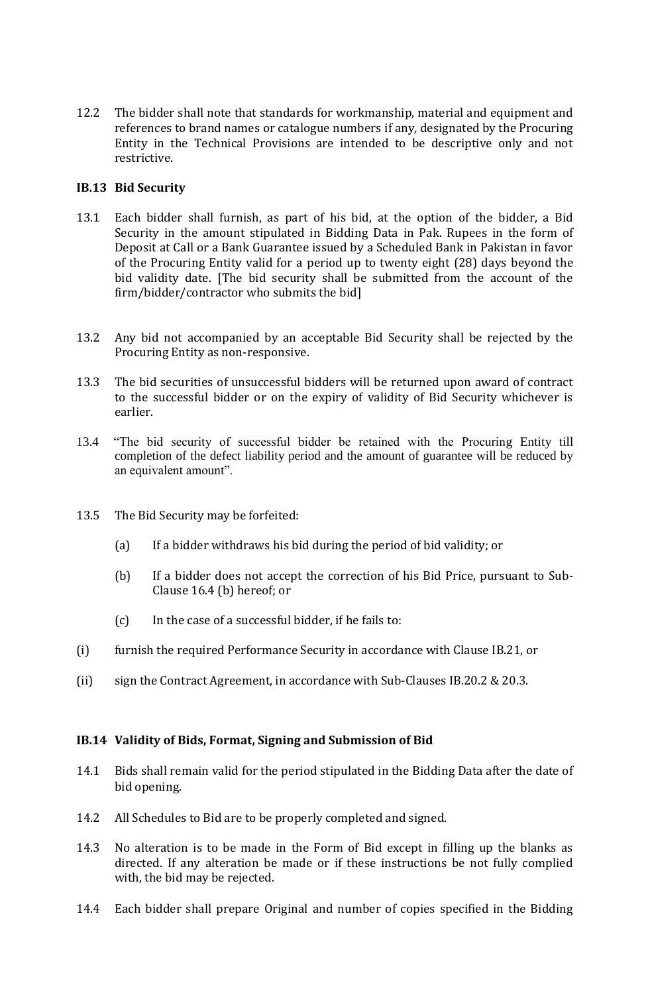12.2 The bidder shall note that standards for workmanship, material and equipment and references to brand names or catalogue numbers if any*,* designated by the Procuring Entity in the Technical Provisions are intended to be descriptive only and not restrictive.

#### **IB.13 Bid Security**

- 13.1 Each bidder shall furnish, as part of his bid, at the option of the bidder, a Bid Security in the amount stipulated in Bidding Data in Pak. Rupees in the form of Deposit at Call or a Bank Guarantee issued by a Scheduled Bank in Pakistan in favor of the Procuring Entity valid for a period up to twenty eight (28) days beyond the bid validity date. [The bid security shall be submitted from the account of the firm/bidder/contractor who submits the bid]
- 13.2 Any bid not accompanied by an acceptable Bid Security shall be rejected by the Procuring Entity as non-responsive.
- 13.3 The bid securities of unsuccessful bidders will be returned upon award of contract to the successful bidder or on the expiry of validity of Bid Security whichever is earlier.
- 13.4 "The bid security of successful bidder be retained with the Procuring Entity till completion of the defect liability period and the amount of guarantee will be reduced by an equivalent amount".
- 13.5 The Bid Security may be forfeited:
	- (a) If a bidder withdraws his bid during the period of bid validity; or
	- (b) If a bidder does not accept the correction of his Bid Price, pursuant to Sub-Clause 16.4 (b) hereof; or
	- (c) In the case of a successful bidder, if he fails to:
- (i) furnish the required Performance Security in accordance with Clause IB.21, or
- (ii) sign the Contract Agreement, in accordance with Sub-Clauses IB.20.2 & 20.3.

#### **IB.14 Validity of Bids, Format, Signing and Submission of Bid**

- 14.1 Bids shall remain valid for the period stipulated in the Bidding Data after the date of bid opening.
- 14.2 All Schedules to Bid are to be properly completed and signed.
- 14.3 No alteration is to be made in the Form of Bid except in filling up the blanks as directed. If any alteration be made or if these instructions be not fully complied with, the bid may be rejected.
- 14.4 Each bidder shall prepare Original and number of copies specified in the Bidding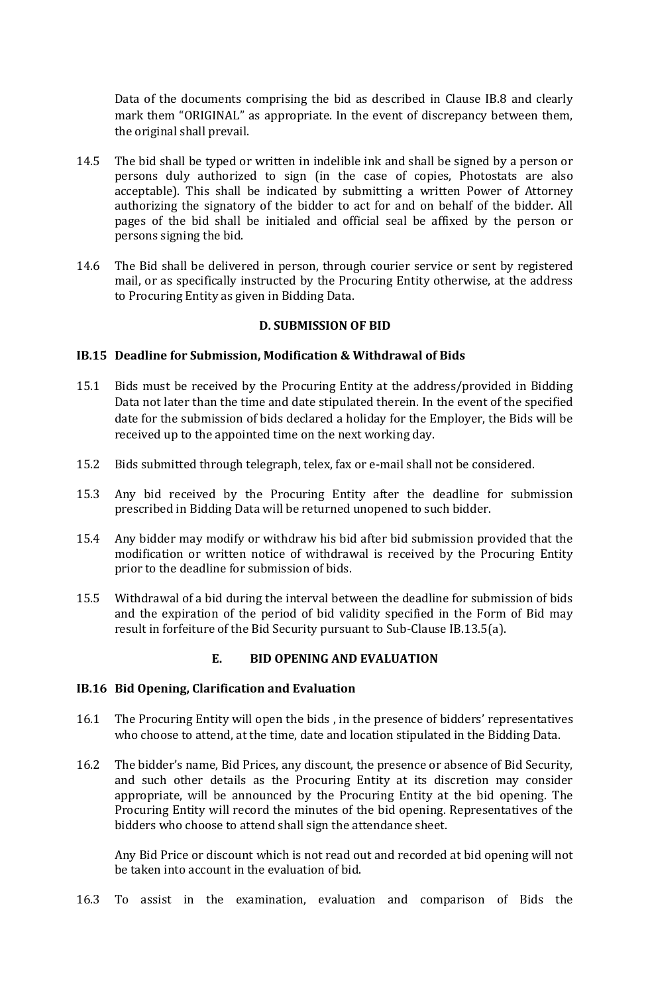Data of the documents comprising the bid as described in Clause IB.8 and clearly mark them "ORIGINAL" as appropriate. In the event of discrepancy between them, the original shall prevail.

- 14.5 The bid shall be typed or written in indelible ink and shall be signed by a person or persons duly authorized to sign (in the case of copies, Photostats are also acceptable). This shall be indicated by submitting a written Power of Attorney authorizing the signatory of the bidder to act for and on behalf of the bidder. All pages of the bid shall be initialed and official seal be affixed by the person or persons signing the bid.
- 14.6 The Bid shall be delivered in person, through courier service or sent by registered mail, or as specifically instructed by the Procuring Entity otherwise, at the address to Procuring Entity as given in Bidding Data.

#### **D. SUBMISSION OF BID**

#### **IB.15 Deadline for Submission, Modification & Withdrawal of Bids**

- 15.1 Bids must be received by the Procuring Entity at the address/provided in Bidding Data not later than the time and date stipulated therein. In the event of the specified date for the submission of bids declared a holiday for the Employer, the Bids will be received up to the appointed time on the next working day.
- 15.2 Bids submitted through telegraph, telex, fax or e-mail shall not be considered.
- 15.3 Any bid received by the Procuring Entity after the deadline for submission prescribed in Bidding Data will be returned unopened to such bidder.
- 15.4 Any bidder may modify or withdraw his bid after bid submission provided that the modification or written notice of withdrawal is received by the Procuring Entity prior to the deadline for submission of bids.
- 15.5 Withdrawal of a bid during the interval between the deadline for submission of bids and the expiration of the period of bid validity specified in the Form of Bid may result in forfeiture of the Bid Security pursuant to Sub-Clause IB.13.5(a).

#### **E. BID OPENING AND EVALUATION**

#### **IB.16 Bid Opening, Clarification and Evaluation**

- 16.1 The Procuring Entity will open the bids , in the presence of bidders' representatives who choose to attend, at the time, date and location stipulated in the Bidding Data.
- 16.2 The bidder's name, Bid Prices, any discount, the presence or absence of Bid Security, and such other details as the Procuring Entity at its discretion may consider appropriate, will be announced by the Procuring Entity at the bid opening. The Procuring Entity will record the minutes of the bid opening. Representatives of the bidders who choose to attend shall sign the attendance sheet.

Any Bid Price or discount which is not read out and recorded at bid opening will not be taken into account in the evaluation of bid.

16.3 To assist in the examination, evaluation and comparison of Bids the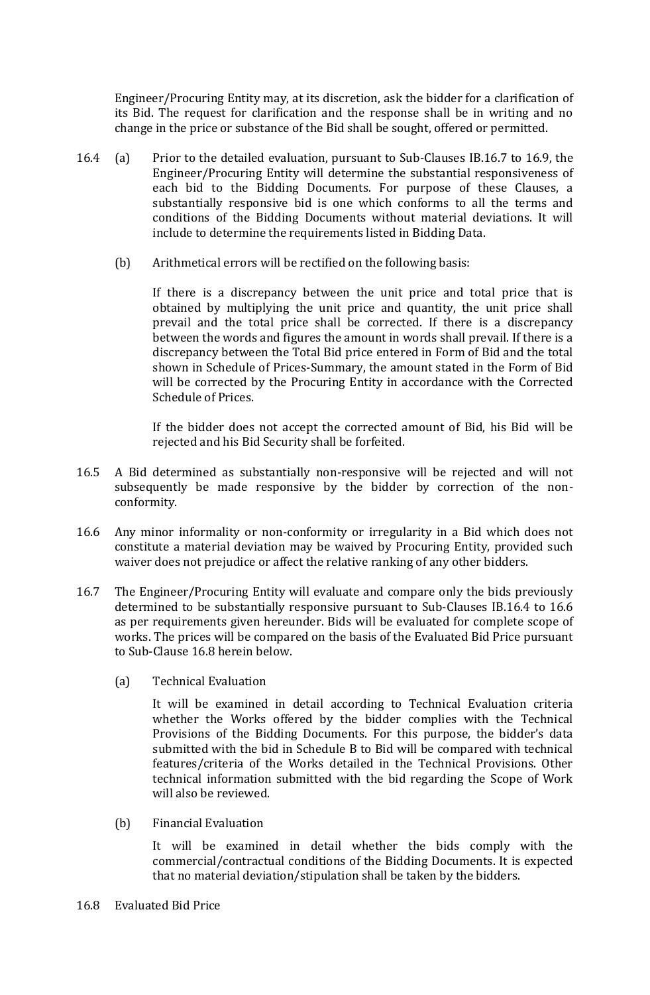Engineer/Procuring Entity may, at its discretion, ask the bidder for a clarification of its Bid. The request for clarification and the response shall be in writing and no change in the price or substance of the Bid shall be sought, offered or permitted.

- 16.4 (a) Prior to the detailed evaluation, pursuant to Sub-Clauses IB.16.7 to 16.9, the Engineer/Procuring Entity will determine the substantial responsiveness of each bid to the Bidding Documents. For purpose of these Clauses, a substantially responsive bid is one which conforms to all the terms and conditions of the Bidding Documents without material deviations. It will include to determine the requirements listed in Bidding Data.
	- (b) Arithmetical errors will be rectified on the following basis:

If there is a discrepancy between the unit price and total price that is obtained by multiplying the unit price and quantity, the unit price shall prevail and the total price shall be corrected. If there is a discrepancy between the words and figures the amount in words shall prevail. If there is a discrepancy between the Total Bid price entered in Form of Bid and the total shown in Schedule of Prices-Summary, the amount stated in the Form of Bid will be corrected by the Procuring Entity in accordance with the Corrected Schedule of Prices.

If the bidder does not accept the corrected amount of Bid, his Bid will be rejected and his Bid Security shall be forfeited.

- 16.5 A Bid determined as substantially non-responsive will be rejected and will not subsequently be made responsive by the bidder by correction of the nonconformity.
- 16.6 Any minor informality or non-conformity or irregularity in a Bid which does not constitute a material deviation may be waived by Procuring Entity, provided such waiver does not prejudice or affect the relative ranking of any other bidders.
- 16.7 The Engineer/Procuring Entity will evaluate and compare only the bids previously determined to be substantially responsive pursuant to Sub-Clauses IB.16.4 to 16.6 as per requirements given hereunder. Bids will be evaluated for complete scope of works. The prices will be compared on the basis of the Evaluated Bid Price pursuant to Sub-Clause 16.8 herein below.
	- (a) Technical Evaluation

It will be examined in detail according to Technical Evaluation criteria whether the Works offered by the bidder complies with the Technical Provisions of the Bidding Documents. For this purpose, the bidder's data submitted with the bid in Schedule B to Bid will be compared with technical features/criteria of the Works detailed in the Technical Provisions. Other technical information submitted with the bid regarding the Scope of Work will also be reviewed.

(b) Financial Evaluation

It will be examined in detail whether the bids comply with the commercial/contractual conditions of the Bidding Documents. It is expected that no material deviation/stipulation shall be taken by the bidders.

16.8 Evaluated Bid Price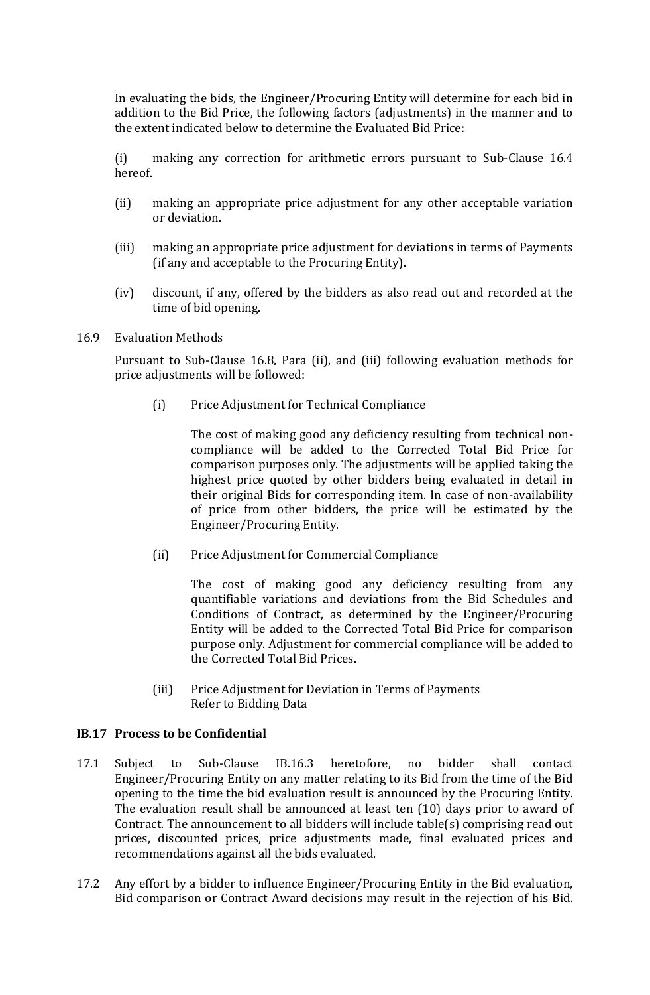In evaluating the bids, the Engineer/Procuring Entity will determine for each bid in addition to the Bid Price, the following factors (adjustments) in the manner and to the extent indicated below to determine the Evaluated Bid Price:

(i) making any correction for arithmetic errors pursuant to Sub-Clause 16.4 hereof.

- (ii) making an appropriate price adjustment for any other acceptable variation or deviation.
- (iii) making an appropriate price adjustment for deviations in terms of Payments (if any and acceptable to the Procuring Entity).
- (iv) discount, if any, offered by the bidders as also read out and recorded at the time of bid opening.
- 16.9 Evaluation Methods

Pursuant to Sub-Clause 16.8, Para (ii), and (iii) following evaluation methods for price adjustments will be followed:

(i) Price Adjustment for Technical Compliance

The cost of making good any deficiency resulting from technical noncompliance will be added to the Corrected Total Bid Price for comparison purposes only. The adjustments will be applied taking the highest price quoted by other bidders being evaluated in detail in their original Bids for corresponding item. In case of non-availability of price from other bidders, the price will be estimated by the Engineer/Procuring Entity.

(ii) Price Adjustment for Commercial Compliance

The cost of making good any deficiency resulting from any quantifiable variations and deviations from the Bid Schedules and Conditions of Contract, as determined by the Engineer/Procuring Entity will be added to the Corrected Total Bid Price for comparison purpose only. Adjustment for commercial compliance will be added to the Corrected Total Bid Prices.

(iii) Price Adjustment for Deviation in Terms of Payments Refer to Bidding Data

#### **IB.17 Process to be Confidential**

- 17.1 Subject to Sub-Clause IB.16.3 heretofore, no bidder shall contact Engineer/Procuring Entity on any matter relating to its Bid from the time of the Bid opening to the time the bid evaluation result is announced by the Procuring Entity. The evaluation result shall be announced at least ten (10) days prior to award of Contract. The announcement to all bidders will include table(s) comprising read out prices, discounted prices, price adjustments made, final evaluated prices and recommendations against all the bids evaluated.
- 17.2 Any effort by a bidder to influence Engineer/Procuring Entity in the Bid evaluation, Bid comparison or Contract Award decisions may result in the rejection of his Bid.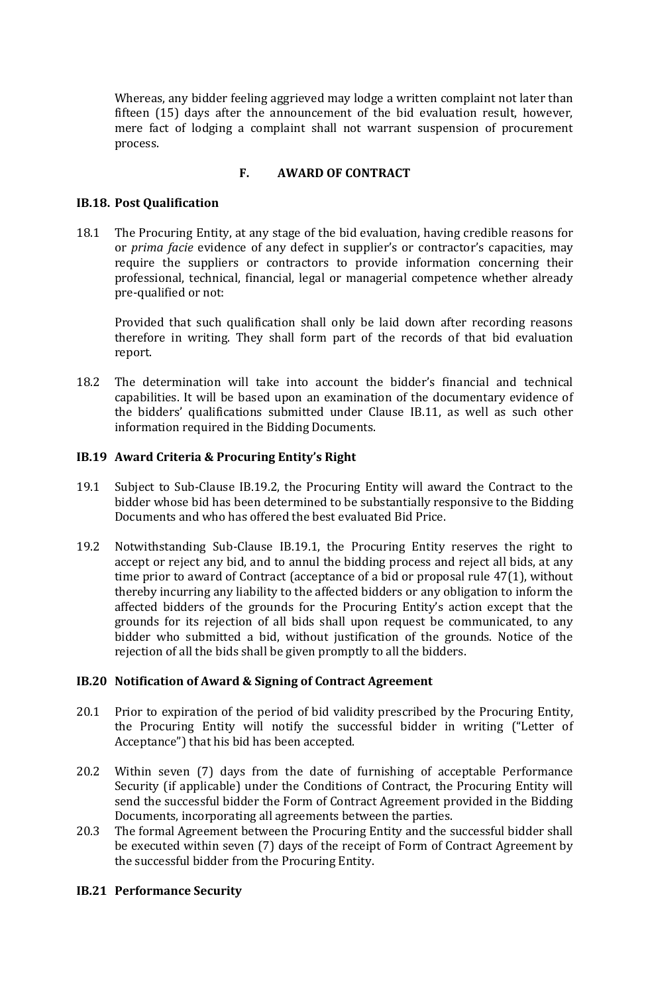Whereas, any bidder feeling aggrieved may lodge a written complaint not later than fifteen (15) days after the announcement of the bid evaluation result, however, mere fact of lodging a complaint shall not warrant suspension of procurement process.

#### **F. AWARD OF CONTRACT**

#### **IB.18. Post Qualification**

18.1 The Procuring Entity, at any stage of the bid evaluation, having credible reasons for or *prima facie* evidence of any defect in supplier's or contractor's capacities, may require the suppliers or contractors to provide information concerning their professional, technical, financial, legal or managerial competence whether already pre-qualified or not:

Provided that such qualification shall only be laid down after recording reasons therefore in writing. They shall form part of the records of that bid evaluation report.

18.2 The determination will take into account the bidder's financial and technical capabilities. It will be based upon an examination of the documentary evidence of the bidders' qualifications submitted under Clause IB.11, as well as such other information required in the Bidding Documents.

#### **IB.19 Award Criteria & Procuring Entity's Right**

- 19.1 Subject to Sub-Clause IB.19.2, the Procuring Entity will award the Contract to the bidder whose bid has been determined to be substantially responsive to the Bidding Documents and who has offered the best evaluated Bid Price.
- 19.2 Notwithstanding Sub-Clause IB.19.1, the Procuring Entity reserves the right to accept or reject any bid, and to annul the bidding process and reject all bids, at any time prior to award of Contract (acceptance of a bid or proposal rule 47(1), without thereby incurring any liability to the affected bidders or any obligation to inform the affected bidders of the grounds for the Procuring Entity's action except that the grounds for its rejection of all bids shall upon request be communicated, to any bidder who submitted a bid, without justification of the grounds. Notice of the rejection of all the bids shall be given promptly to all the bidders.

#### **IB.20 Notification of Award & Signing of Contract Agreement**

- 20.1 Prior to expiration of the period of bid validity prescribed by the Procuring Entity, the Procuring Entity will notify the successful bidder in writing ("Letter of Acceptance") that his bid has been accepted.
- 20.2 Within seven (7) days from the date of furnishing of acceptable Performance Security (if applicable) under the Conditions of Contract, the Procuring Entity will send the successful bidder the Form of Contract Agreement provided in the Bidding Documents, incorporating all agreements between the parties.
- 20.3 The formal Agreement between the Procuring Entity and the successful bidder shall be executed within seven (7) days of the receipt of Form of Contract Agreement by the successful bidder from the Procuring Entity.

#### **IB.21 Performance Security**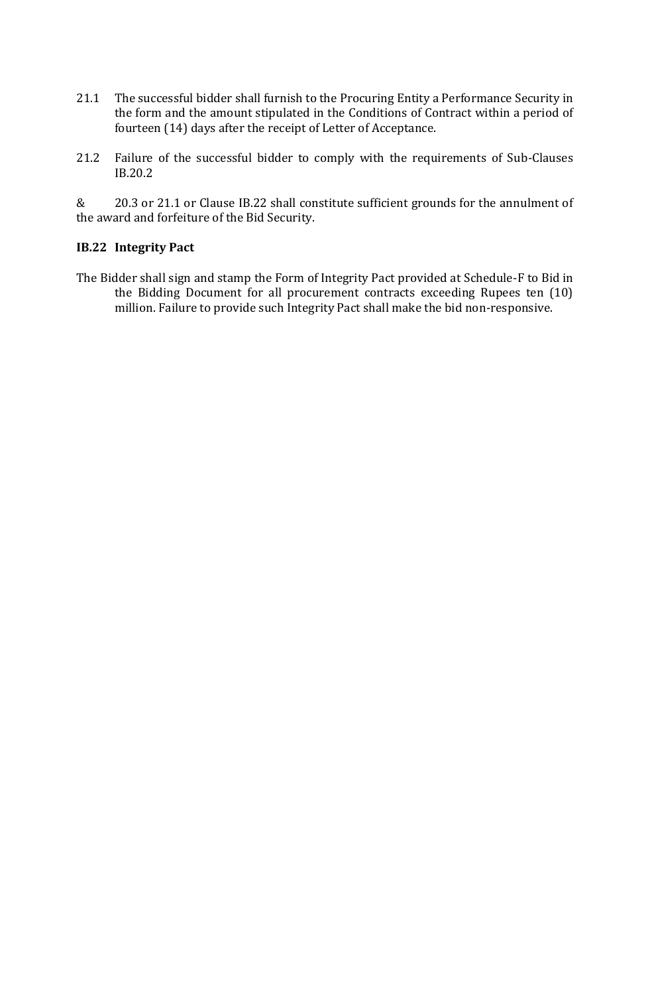- 21.1 The successful bidder shall furnish to the Procuring Entity a Performance Security in the form and the amount stipulated in the Conditions of Contract within a period of fourteen (14) days after the receipt of Letter of Acceptance.
- 21.2 Failure of the successful bidder to comply with the requirements of Sub-Clauses IB.20.2

& 20.3 or 21.1 or Clause IB.22 shall constitute sufficient grounds for the annulment of the award and forfeiture of the Bid Security.

#### **IB.22 Integrity Pact**

The Bidder shall sign and stamp the Form of Integrity Pact provided at Schedule-F to Bid in the Bidding Document for all procurement contracts exceeding Rupees ten (10) million. Failure to provide such Integrity Pact shall make the bid non-responsive.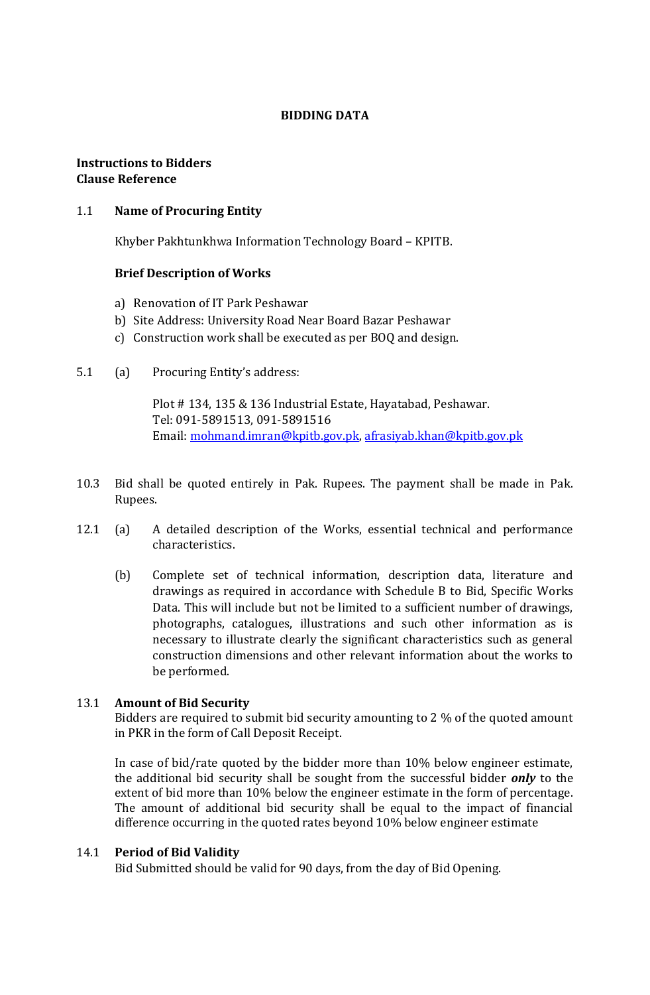#### **BIDDING DATA**

#### **Instructions to Bidders Clause Reference**

#### 1.1 **Name of Procuring Entity**

Khyber Pakhtunkhwa Information Technology Board – KPITB.

#### **Brief Description of Works**

- a) Renovation of IT Park Peshawar
- b) Site Address: University Road Near Board Bazar Peshawar
- c) Construction work shall be executed as per BOQ and design.
- 5.1 (a) Procuring Entity's address:

Plot # 134, 135 & 136 Industrial Estate, Hayatabad, Peshawar. Tel: 091-5891513, 091-5891516 Email: [mohmand.imran@kpitb.gov.pk,](mailto:mohmand.imran@kpitb.gov.pk) [afrasiyab.khan@kpitb.gov.pk](mailto:afrasiyab.khan@kpitb.gov.pk)

- 10.3 Bid shall be quoted entirely in Pak. Rupees. The payment shall be made in Pak. Rupees.
- 12.1 (a) A detailed description of the Works, essential technical and performance characteristics.
	- (b) Complete set of technical information, description data, literature and drawings as required in accordance with Schedule B to Bid, Specific Works Data. This will include but not be limited to a sufficient number of drawings, photographs, catalogues, illustrations and such other information as is necessary to illustrate clearly the significant characteristics such as general construction dimensions and other relevant information about the works to be performed.

#### 13.1 **Amount of Bid Security**

Bidders are required to submit bid security amounting to 2 % of the quoted amount in PKR in the form of Call Deposit Receipt.

In case of bid/rate quoted by the bidder more than 10% below engineer estimate, the additional bid security shall be sought from the successful bidder *only* to the extent of bid more than 10% below the engineer estimate in the form of percentage. The amount of additional bid security shall be equal to the impact of financial difference occurring in the quoted rates beyond 10% below engineer estimate

#### 14.1 **Period of Bid Validity**

Bid Submitted should be valid for 90 days, from the day of Bid Opening.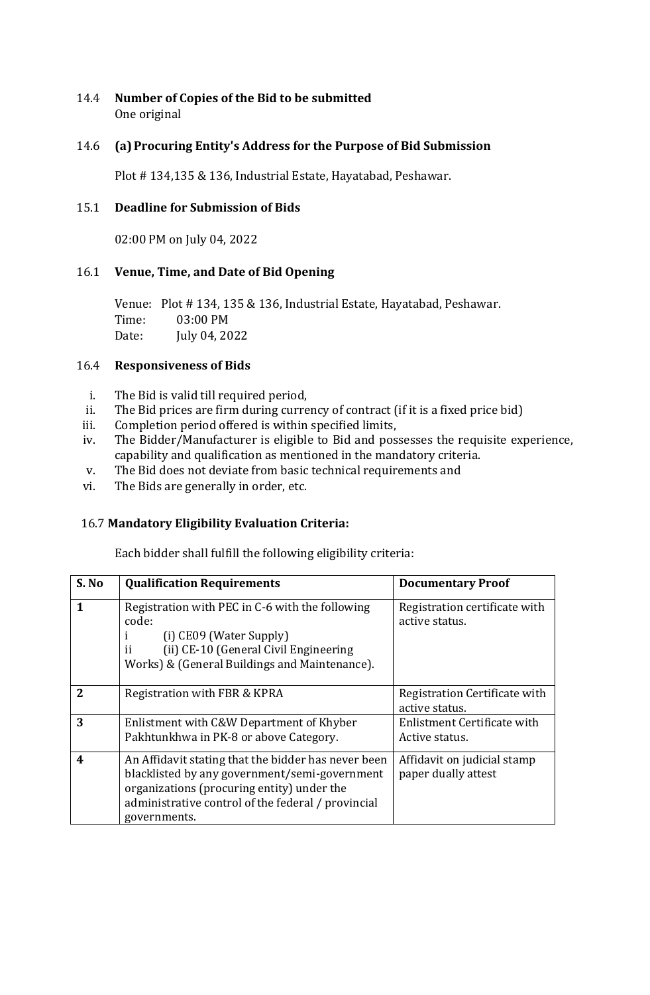#### 14.4 **Number of Copies of the Bid to be submitted** One original

#### 14.6 **(a)Procuring Entity's Address for the Purpose of Bid Submission**

Plot # 134,135 & 136, Industrial Estate, Hayatabad, Peshawar.

#### 15.1 **Deadline for Submission of Bids**

02:00 PM on July 04, 2022

#### 16.1 **Venue, Time, and Date of Bid Opening**

Venue: Plot # 134, 135 & 136, Industrial Estate, Hayatabad, Peshawar. Time: 03:00 PM Date: July 04, 2022

#### 16.4 **Responsiveness of Bids**

- i. The Bid is valid till required period,
- ii. The Bid prices are firm during currency of contract (if it is a fixed price bid)
- iii. Completion period offered is within specified limits,
- iv. The Bidder/Manufacturer is eligible to Bid and possesses the requisite experience, capability and qualification as mentioned in the mandatory criteria.
- v. The Bid does not deviate from basic technical requirements and
- vi. The Bids are generally in order, etc.

#### 16.7 **Mandatory Eligibility Evaluation Criteria:**

Each bidder shall fulfill the following eligibility criteria:

| S. No          | <b>Qualification Requirements</b>                                                                                                                                                                                        | <b>Documentary Proof</b>                           |
|----------------|--------------------------------------------------------------------------------------------------------------------------------------------------------------------------------------------------------------------------|----------------------------------------------------|
| 1              | Registration with PEC in C-6 with the following<br>code:<br>$(i)$ CE09 (Water Supply)<br>(ii) CE-10 (General Civil Engineering<br>ij<br>Works) & (General Buildings and Maintenance).                                    | Registration certificate with<br>active status.    |
| $\overline{2}$ | Registration with FBR & KPRA                                                                                                                                                                                             | Registration Certificate with<br>active status.    |
| 3              | Enlistment with C&W Department of Khyber<br>Pakhtunkhwa in PK-8 or above Category.                                                                                                                                       | Enlistment Certificate with<br>Active status.      |
| 4              | An Affidavit stating that the bidder has never been<br>blacklisted by any government/semi-government<br>organizations (procuring entity) under the<br>administrative control of the federal / provincial<br>governments. | Affidavit on judicial stamp<br>paper dually attest |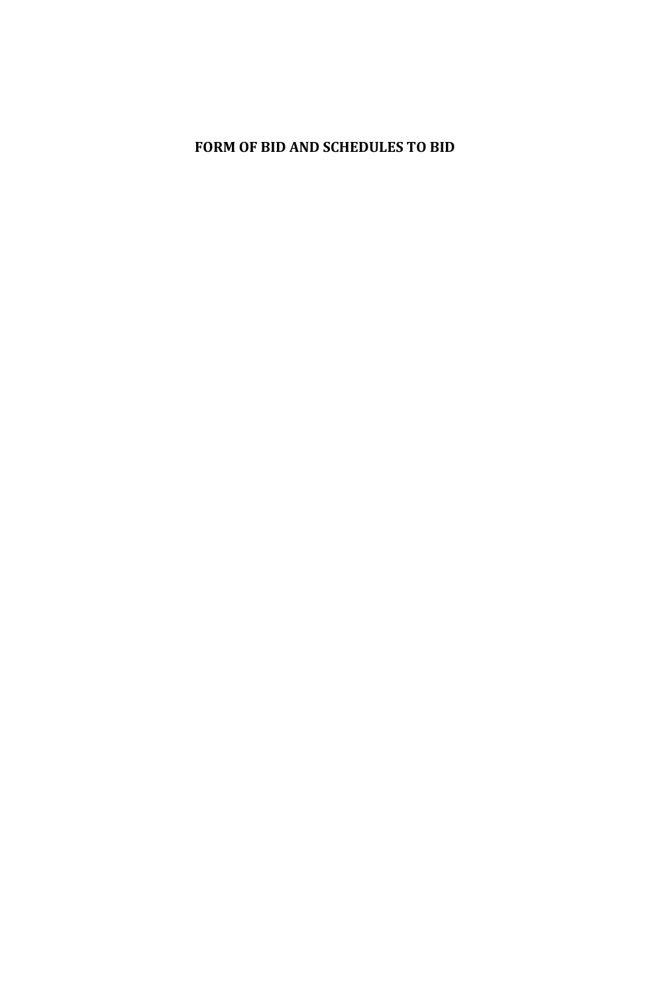# <span id="page-15-0"></span>**FORM OF BID AND SCHEDULES TO BID**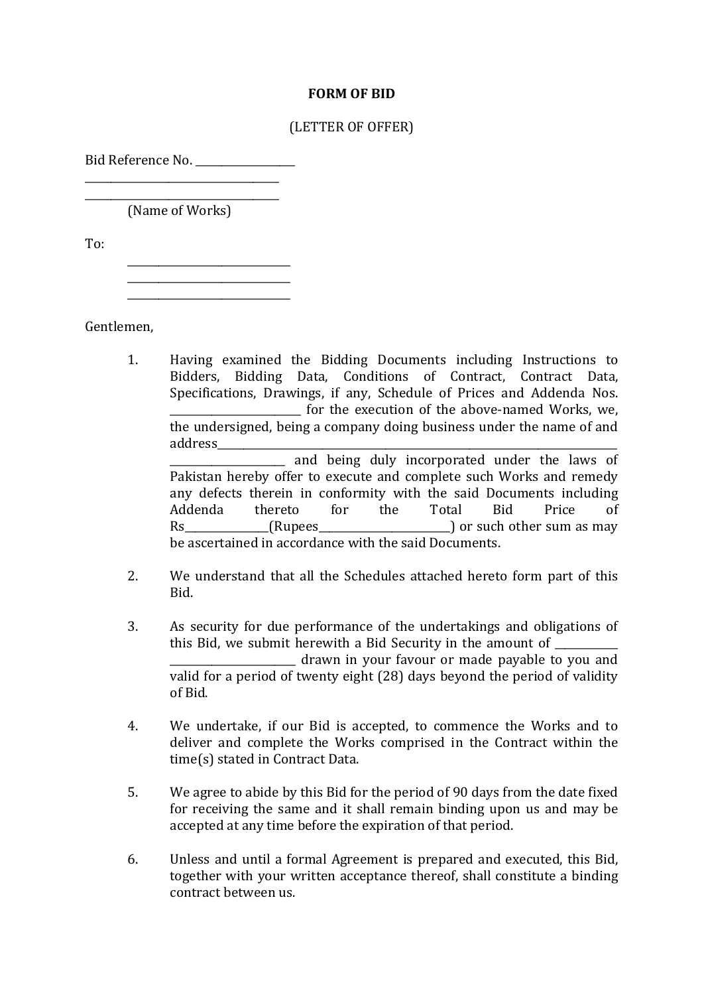#### **FORM OF BID**

#### (LETTER OF OFFER)

Bid Reference No. \_\_\_\_\_\_\_\_\_\_\_\_\_\_\_\_\_\_\_\_\_\_\_\_\_\_\_\_\_\_\_\_\_\_\_\_\_

\_\_\_\_\_\_\_\_\_\_\_\_\_\_\_\_\_\_\_\_\_\_\_\_\_\_\_\_\_\_\_\_\_\_\_\_\_ (Name of Works)

\_\_\_\_\_\_\_\_\_\_\_\_\_\_\_\_\_\_\_\_\_\_\_\_\_\_\_\_\_\_\_

\_\_\_\_\_\_\_\_\_\_\_\_\_\_\_\_\_\_\_\_\_\_\_\_\_\_\_\_\_\_\_

To:

Gentlemen,

- 1. Having examined the Bidding Documents including Instructions to Bidders, Bidding Data, Conditions of Contract, Contract Data, Specifications, Drawings, if any, Schedule of Prices and Addenda Nos. for the execution of the above-named Works, we, the undersigned, being a company doing business under the name of and address\_\_\_\_\_\_\_\_\_\_\_\_\_\_\_\_\_\_\_\_\_\_\_\_\_\_\_\_\_\_\_\_\_\_\_\_\_\_\_\_\_\_\_\_\_\_\_\_\_\_\_\_\_\_\_\_\_\_\_\_\_\_\_\_\_\_\_\_\_\_\_\_\_\_\_\_ \_\_\_\_\_\_\_\_\_\_\_\_\_\_\_\_\_\_\_\_\_\_ and being duly incorporated under the laws of Pakistan hereby offer to execute and complete such Works and remedy any defects therein in conformity with the said Documents including Addenda thereto for the Total Bid Price of Rs (Rupees and Rupees and Rupees and Rupees and Rupees and Rupees and Rupees and Rupees and Rupees and Rupees  $\int$  or such other sum as may
	- be ascertained in accordance with the said Documents.
- 2. We understand that all the Schedules attached hereto form part of this Bid.
- 3. As security for due performance of the undertakings and obligations of this Bid, we submit herewith a Bid Security in the amount of \_\_\_\_\_\_\_\_\_\_\_\_\_\_\_\_\_\_\_\_\_\_\_\_ drawn in your favour or made payable to you and valid for a period of twenty eight (28) days beyond the period of validity of Bid.
- 4. We undertake, if our Bid is accepted, to commence the Works and to deliver and complete the Works comprised in the Contract within the time(s) stated in Contract Data.
- 5. We agree to abide by this Bid for the period of 90 days from the date fixed for receiving the same and it shall remain binding upon us and may be accepted at any time before the expiration of that period.
- 6. Unless and until a formal Agreement is prepared and executed, this Bid, together with your written acceptance thereof, shall constitute a binding contract between us.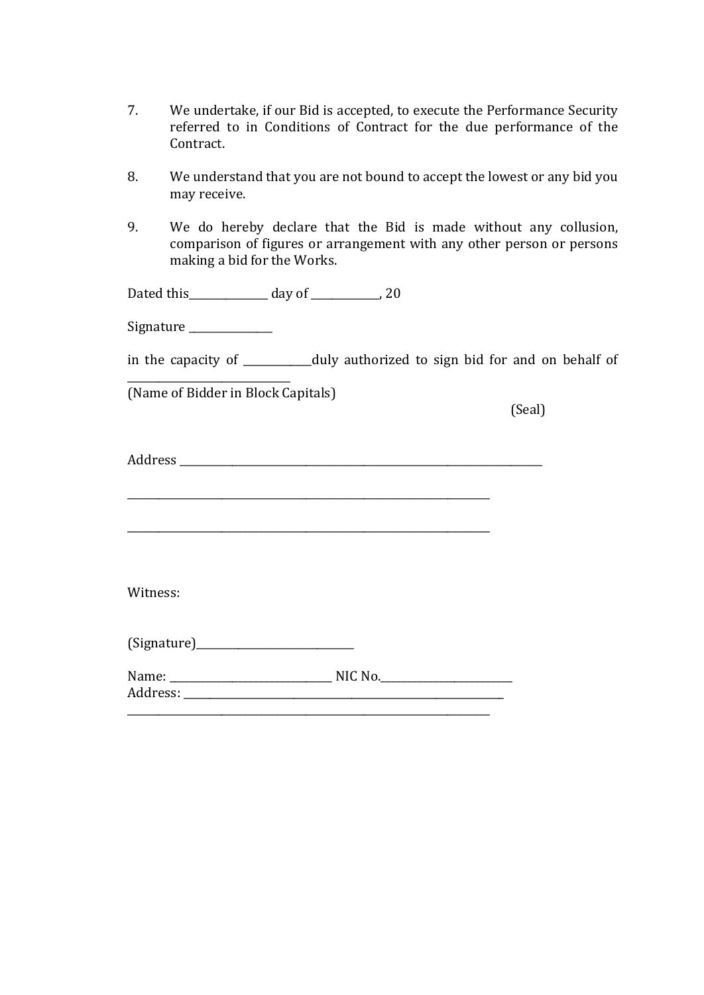- 7. We undertake, if our Bid is accepted, to execute the Performance Security referred to in Conditions of Contract for the due performance of the Contract.
- 8. We understand that you are not bound to accept the lowest or any bid you may receive.
- 9. We do hereby declare that the Bid is made without any collusion, comparison of figures or arrangement with any other person or persons making a bid for the Works.

Dated this\_\_\_\_\_\_\_\_\_\_\_\_\_\_\_ day of \_\_\_\_\_\_\_\_\_\_\_\_\_, 20

Signature \_\_\_\_\_\_\_\_\_\_\_\_\_\_\_\_

\_\_\_\_\_\_\_\_\_\_\_\_\_\_\_\_\_\_\_\_\_\_\_\_\_\_\_\_\_\_\_

in the capacity of \_\_\_\_\_\_\_\_\_\_\_\_\_duly authorized to sign bid for and on behalf of

(Name of Bidder in Block Capitals)

(Seal)

Address **and a set of the set of the set of the set of the set of the set of the set of the set of the set of the set of the set of the set of the set of the set of the set of the set of the set of the set of the set of th** 

| Witness: |           |  |
|----------|-----------|--|
|          |           |  |
|          |           |  |
|          | $NIC$ No. |  |
|          |           |  |
|          |           |  |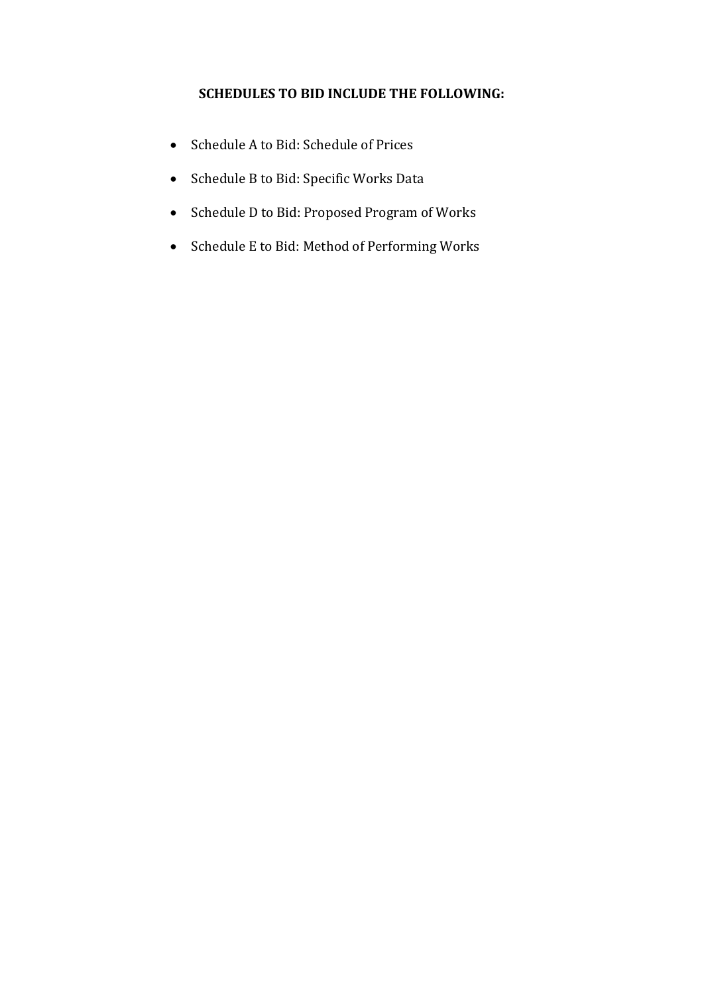#### **SCHEDULES TO BID INCLUDE THE FOLLOWING:**

- Schedule A to Bid: Schedule of Prices
- Schedule B to Bid: Specific Works Data
- Schedule D to Bid: Proposed Program of Works
- Schedule E to Bid: Method of Performing Works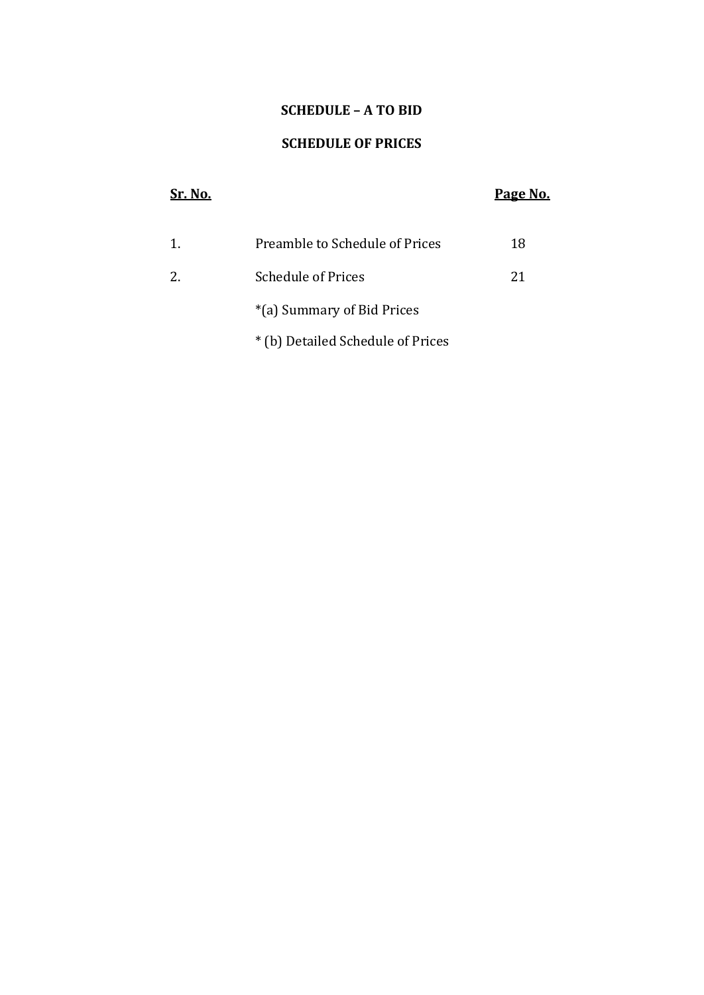#### **SCHEDULE – A TO BID**

#### **SCHEDULE OF PRICES**

# **Sr. No. Page No.** 1. Preamble to Schedule of Prices 218 2. Schedule of Prices 21 \*(a) Summary of Bid Prices

\* (b) Detailed Schedule of Prices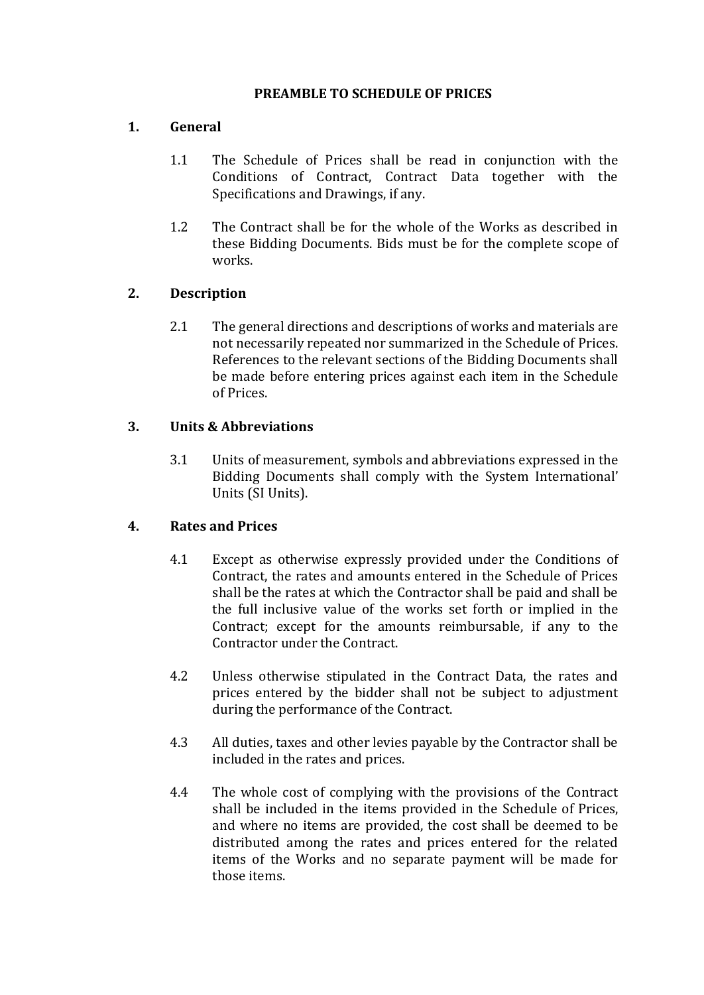#### **PREAMBLE TO SCHEDULE OF PRICES**

#### **1. General**

- 1.1 The Schedule of Prices shall be read in conjunction with the Conditions of Contract, Contract Data together with the Specifications and Drawings, if any.
- 1.2 The Contract shall be for the whole of the Works as described in these Bidding Documents. Bids must be for the complete scope of works.

#### **2. Description**

2.1 The general directions and descriptions of works and materials are not necessarily repeated nor summarized in the Schedule of Prices. References to the relevant sections of the Bidding Documents shall be made before entering prices against each item in the Schedule of Prices.

#### **3. Units & Abbreviations**

3.1 Units of measurement, symbols and abbreviations expressed in the Bidding Documents shall comply with the System International' Units (SI Units).

#### **4. Rates and Prices**

- 4.1 Except as otherwise expressly provided under the Conditions of Contract, the rates and amounts entered in the Schedule of Prices shall be the rates at which the Contractor shall be paid and shall be the full inclusive value of the works set forth or implied in the Contract; except for the amounts reimbursable, if any to the Contractor under the Contract.
- 4.2 Unless otherwise stipulated in the Contract Data, the rates and prices entered by the bidder shall not be subject to adjustment during the performance of the Contract.
- 4.3 All duties, taxes and other levies payable by the Contractor shall be included in the rates and prices.
- 4.4 The whole cost of complying with the provisions of the Contract shall be included in the items provided in the Schedule of Prices, and where no items are provided, the cost shall be deemed to be distributed among the rates and prices entered for the related items of the Works and no separate payment will be made for those items.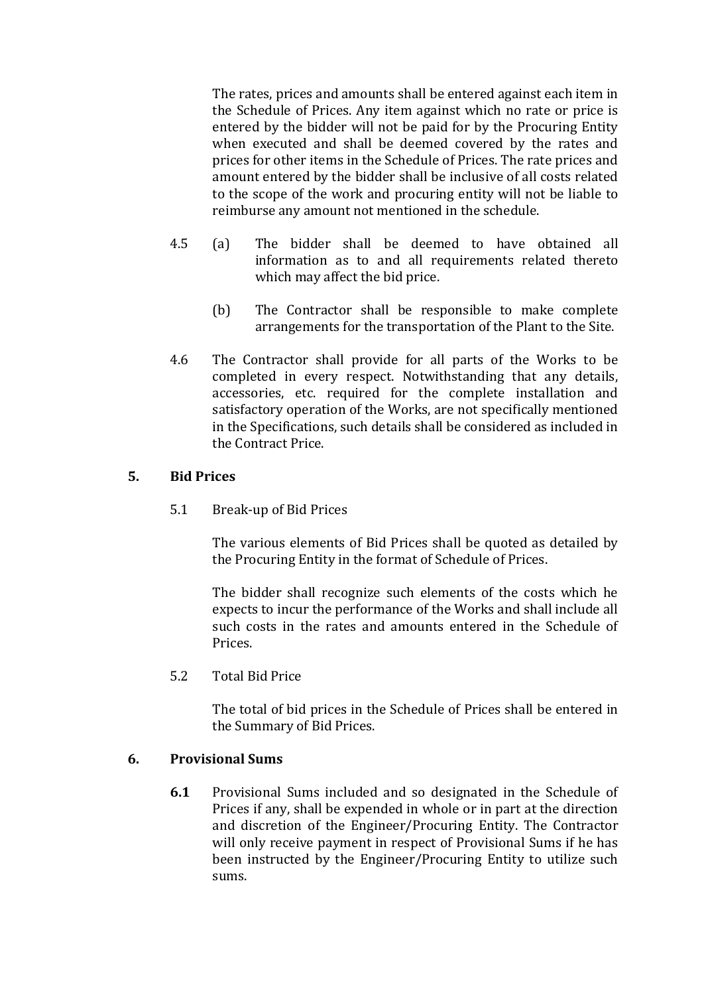The rates, prices and amounts shall be entered against each item in the Schedule of Prices. Any item against which no rate or price is entered by the bidder will not be paid for by the Procuring Entity when executed and shall be deemed covered by the rates and prices for other items in the Schedule of Prices. The rate prices and amount entered by the bidder shall be inclusive of all costs related to the scope of the work and procuring entity will not be liable to reimburse any amount not mentioned in the schedule.

- 4.5 (a) The bidder shall be deemed to have obtained all information as to and all requirements related thereto which may affect the bid price.
	- (b) The Contractor shall be responsible to make complete arrangements for the transportation of the Plant to the Site.
- 4.6 The Contractor shall provide for all parts of the Works to be completed in every respect. Notwithstanding that any details, accessories, etc. required for the complete installation and satisfactory operation of the Works, are not specifically mentioned in the Specifications, such details shall be considered as included in the Contract Price.

#### **5. Bid Prices**

5.1 Break-up of Bid Prices

The various elements of Bid Prices shall be quoted as detailed by the Procuring Entity in the format of Schedule of Prices.

The bidder shall recognize such elements of the costs which he expects to incur the performance of the Works and shall include all such costs in the rates and amounts entered in the Schedule of Prices.

5.2 Total Bid Price

The total of bid prices in the Schedule of Prices shall be entered in the Summary of Bid Prices.

#### **6. Provisional Sums**

**6.1** Provisional Sums included and so designated in the Schedule of Prices if any, shall be expended in whole or in part at the direction and discretion of the Engineer/Procuring Entity. The Contractor will only receive payment in respect of Provisional Sums if he has been instructed by the Engineer/Procuring Entity to utilize such sums.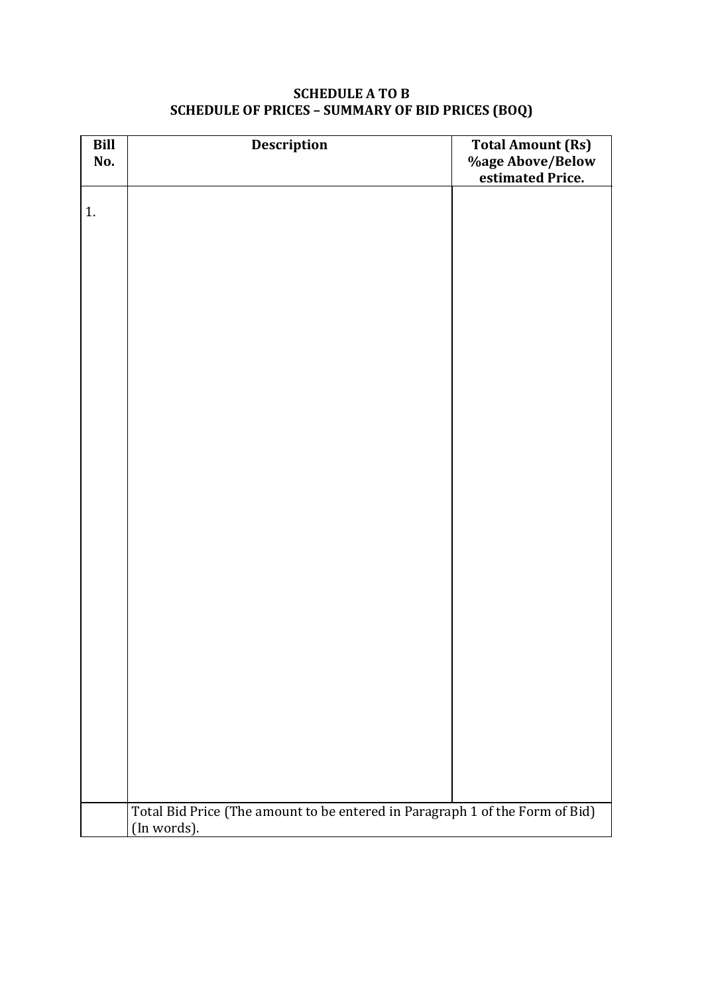# **Bill No. Description Total Amount (Rs) %age Above/Below estimated Price.** 1. Total Bid Price (The amount to be entered in Paragraph 1 of the Form of Bid) (In words).

#### **SCHEDULE A TO B SCHEDULE OF PRICES – SUMMARY OF BID PRICES (BOQ)**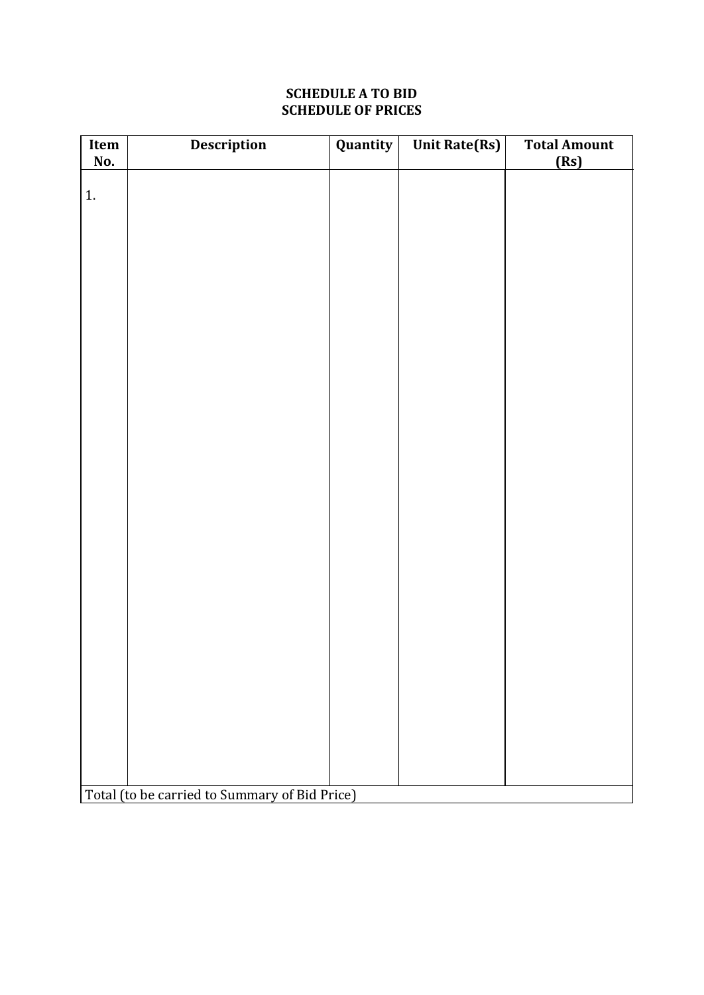#### **SCHEDULE A TO BID SCHEDULE OF PRICES**

| Item<br>No.                                   | Description | Quantity | <b>Unit Rate(Rs)</b> | <b>Total Amount</b><br>(Rs) |  |  |
|-----------------------------------------------|-------------|----------|----------------------|-----------------------------|--|--|
|                                               |             |          |                      |                             |  |  |
| 1.                                            |             |          |                      |                             |  |  |
|                                               |             |          |                      |                             |  |  |
|                                               |             |          |                      |                             |  |  |
|                                               |             |          |                      |                             |  |  |
|                                               |             |          |                      |                             |  |  |
|                                               |             |          |                      |                             |  |  |
|                                               |             |          |                      |                             |  |  |
|                                               |             |          |                      |                             |  |  |
|                                               |             |          |                      |                             |  |  |
|                                               |             |          |                      |                             |  |  |
|                                               |             |          |                      |                             |  |  |
|                                               |             |          |                      |                             |  |  |
|                                               |             |          |                      |                             |  |  |
|                                               |             |          |                      |                             |  |  |
|                                               |             |          |                      |                             |  |  |
|                                               |             |          |                      |                             |  |  |
|                                               |             |          |                      |                             |  |  |
|                                               |             |          |                      |                             |  |  |
|                                               |             |          |                      |                             |  |  |
|                                               |             |          |                      |                             |  |  |
|                                               |             |          |                      |                             |  |  |
|                                               |             |          |                      |                             |  |  |
|                                               |             |          |                      |                             |  |  |
|                                               |             |          |                      |                             |  |  |
| Total (to be carried to Summary of Bid Price) |             |          |                      |                             |  |  |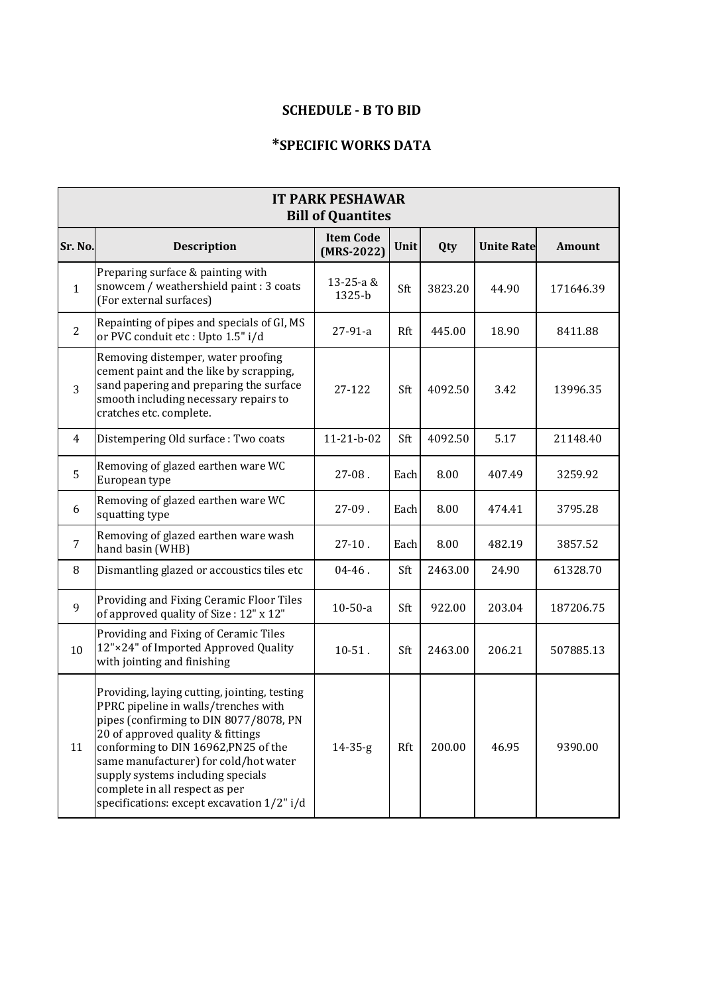#### **SCHEDULE - B TO BID**

### **\*SPECIFIC WORKS DATA**

| <b>IT PARK PESHAWAR</b><br><b>Bill of Quantites</b> |                                                                                                                                                                                                                                                                                                                                                                           |                                  |      |         |                   |           |
|-----------------------------------------------------|---------------------------------------------------------------------------------------------------------------------------------------------------------------------------------------------------------------------------------------------------------------------------------------------------------------------------------------------------------------------------|----------------------------------|------|---------|-------------------|-----------|
| Sr. No.                                             | <b>Description</b>                                                                                                                                                                                                                                                                                                                                                        | <b>Item Code</b><br>$(MRS-2022)$ | Unit | Qty     | <b>Unite Rate</b> | Amount    |
| $\mathbf{1}$                                        | Preparing surface & painting with<br>snowcem / weathershield paint : 3 coats<br>(For external surfaces)                                                                                                                                                                                                                                                                   | 13-25-a &<br>1325-b              | Sft  | 3823.20 | 44.90             | 171646.39 |
| $\overline{2}$                                      | Repainting of pipes and specials of GI, MS<br>or PVC conduit etc : Upto 1.5" i/d                                                                                                                                                                                                                                                                                          | $27-91-a$                        | Rft  | 445.00  | 18.90             | 8411.88   |
| 3                                                   | Removing distemper, water proofing<br>cement paint and the like by scrapping,<br>sand papering and preparing the surface<br>smooth including necessary repairs to<br>cratches etc. complete.                                                                                                                                                                              | 27-122                           | Sft  | 4092.50 | 3.42              | 13996.35  |
| $\overline{4}$                                      | Distempering Old surface: Two coats                                                                                                                                                                                                                                                                                                                                       | $11-21-b-02$                     | Sft  | 4092.50 | 5.17              | 21148.40  |
| 5                                                   | Removing of glazed earthen ware WC<br>European type                                                                                                                                                                                                                                                                                                                       | $27-08.$                         | Each | 8.00    | 407.49            | 3259.92   |
| 6                                                   | Removing of glazed earthen ware WC<br>squatting type                                                                                                                                                                                                                                                                                                                      | $27-09.$                         | Each | 8.00    | 474.41            | 3795.28   |
| $\overline{7}$                                      | Removing of glazed earthen ware wash<br>hand basin (WHB)                                                                                                                                                                                                                                                                                                                  | $27-10$ .                        | Each | 8.00    | 482.19            | 3857.52   |
| 8                                                   | Dismantling glazed or accoustics tiles etc                                                                                                                                                                                                                                                                                                                                | $04 - 46$ .                      | Sft  | 2463.00 | 24.90             | 61328.70  |
| 9                                                   | Providing and Fixing Ceramic Floor Tiles<br>of approved quality of Size: 12" x 12"                                                                                                                                                                                                                                                                                        | $10-50-a$                        | Sft  | 922.00  | 203.04            | 187206.75 |
| 10                                                  | Providing and Fixing of Ceramic Tiles<br>12"×24" of Imported Approved Quality<br>with jointing and finishing                                                                                                                                                                                                                                                              | $10-51$ .                        | Sft  | 2463.00 | 206.21            | 507885.13 |
| 11                                                  | Providing, laying cutting, jointing, testing<br>PPRC pipeline in walls/trenches with<br>pipes (confirming to DIN 8077/8078, PN<br>20 of approved quality & fittings<br>conforming to DIN 16962, PN25 of the<br>same manufacturer) for cold/hot water<br>supply systems including specials<br>complete in all respect as per<br>specifications: except excavation 1/2" i/d | $14 - 35 - g$                    | Rft  | 200.00  | 46.95             | 9390.00   |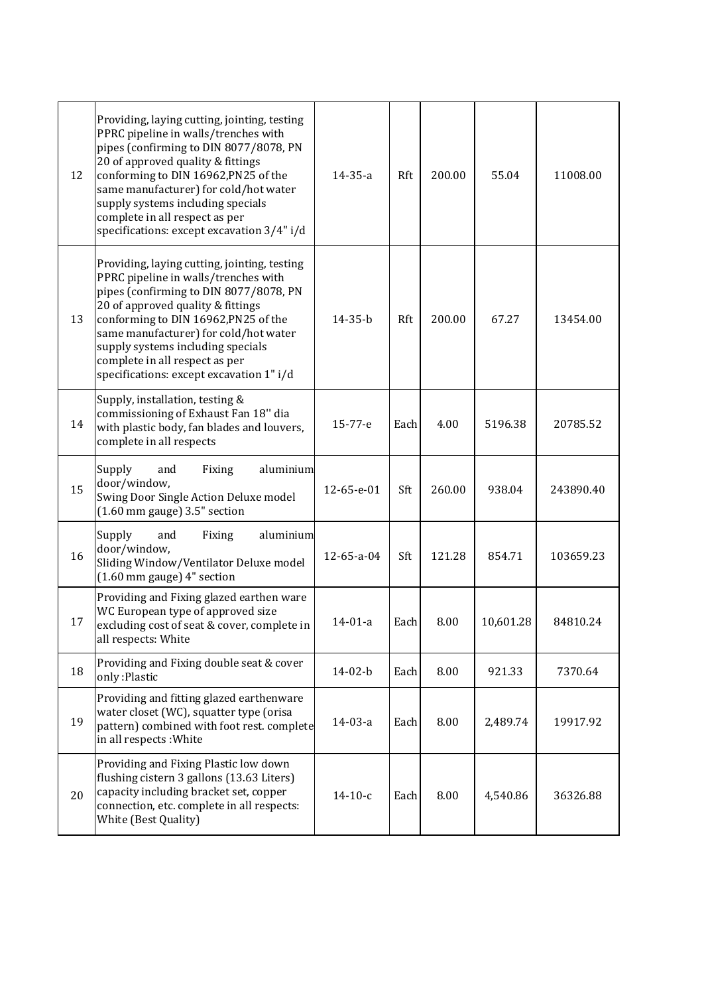| 12 | Providing, laying cutting, jointing, testing<br>PPRC pipeline in walls/trenches with<br>pipes (confirming to DIN 8077/8078, PN<br>20 of approved quality & fittings<br>conforming to DIN 16962, PN25 of the<br>same manufacturer) for cold/hot water<br>supply systems including specials<br>complete in all respect as per<br>specifications: except excavation 3/4" i/d | 14-35-a       | Rft  | 200.00 | 55.04     | 11008.00  |
|----|---------------------------------------------------------------------------------------------------------------------------------------------------------------------------------------------------------------------------------------------------------------------------------------------------------------------------------------------------------------------------|---------------|------|--------|-----------|-----------|
| 13 | Providing, laying cutting, jointing, testing<br>PPRC pipeline in walls/trenches with<br>pipes (confirming to DIN 8077/8078, PN<br>20 of approved quality & fittings<br>conforming to DIN 16962, PN25 of the<br>same manufacturer) for cold/hot water<br>supply systems including specials<br>complete in all respect as per<br>specifications: except excavation 1" i/d   | $14 - 35 - b$ | Rft  | 200.00 | 67.27     | 13454.00  |
| 14 | Supply, installation, testing &<br>commissioning of Exhaust Fan 18" dia<br>with plastic body, fan blades and louvers,<br>complete in all respects                                                                                                                                                                                                                         | $15 - 77 - e$ | Each | 4.00   | 5196.38   | 20785.52  |
| 15 | Supply<br>aluminium<br>and<br>Fixing<br>door/window,<br>Swing Door Single Action Deluxe model<br>$(1.60$ mm gauge) $3.5$ " section                                                                                                                                                                                                                                        | 12-65-e-01    | Sft  | 260.00 | 938.04    | 243890.40 |
| 16 | Supply<br>aluminium<br>and<br>Fixing<br>door/window,<br>Sliding Window/Ventilator Deluxe model<br>$(1.60 \text{ mm gauge})$ 4" section                                                                                                                                                                                                                                    | 12-65-a-04    | Sft  | 121.28 | 854.71    | 103659.23 |
| 17 | Providing and Fixing glazed earthen ware<br>WC European type of approved size<br>excluding cost of seat & cover, complete in<br>all respects: White                                                                                                                                                                                                                       | $14 - 01 - a$ | Each | 8.00   | 10,601.28 | 84810.24  |
| 18 | Providing and Fixing double seat & cover<br>only: Plastic                                                                                                                                                                                                                                                                                                                 | 14-02-b       | Each | 8.00   | 921.33    | 7370.64   |
| 19 | Providing and fitting glazed earthenware<br>water closet (WC), squatter type (orisa<br>pattern) combined with foot rest. complete<br>in all respects: White                                                                                                                                                                                                               | $14-03-a$     | Each | 8.00   | 2,489.74  | 19917.92  |
| 20 | Providing and Fixing Plastic low down<br>flushing cistern 3 gallons (13.63 Liters)<br>capacity including bracket set, copper<br>connection, etc. complete in all respects:<br>White (Best Quality)                                                                                                                                                                        | $14-10-c$     | Each | 8.00   | 4,540.86  | 36326.88  |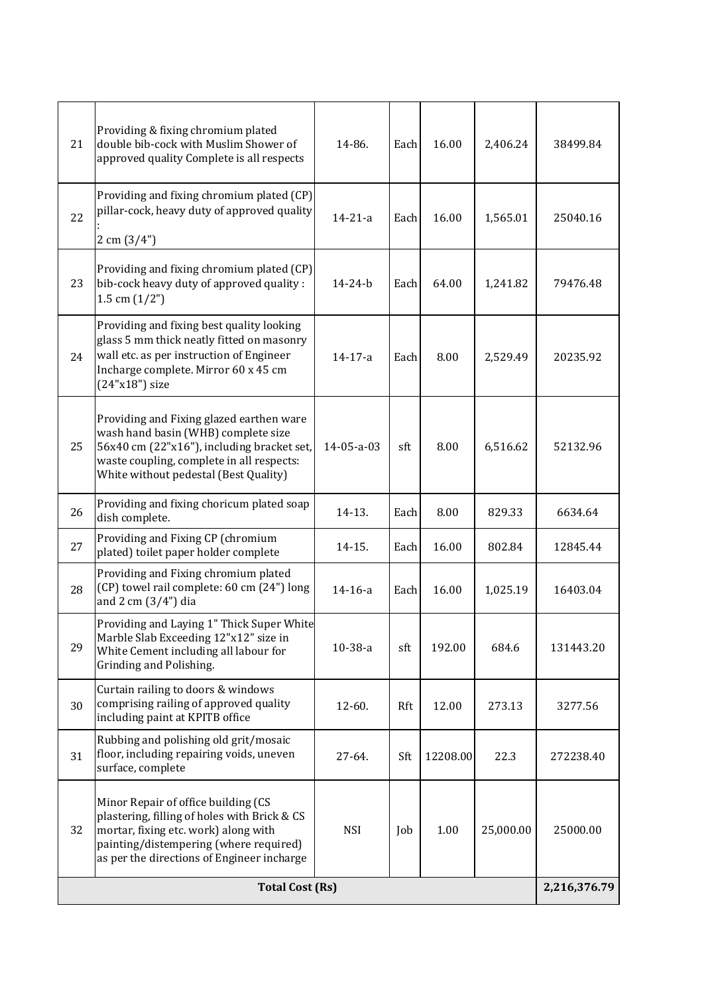| 21                     | Providing & fixing chromium plated<br>double bib-cock with Muslim Shower of<br>approved quality Complete is all respects                                                                                            | 14-86.        | Each | 16.00    | 2,406.24     | 38499.84  |
|------------------------|---------------------------------------------------------------------------------------------------------------------------------------------------------------------------------------------------------------------|---------------|------|----------|--------------|-----------|
| 22                     | Providing and fixing chromium plated (CP)<br>pillar-cock, heavy duty of approved quality<br>$2 \text{ cm } (3/4")$                                                                                                  | $14 - 21 - a$ | Each | 16.00    | 1,565.01     | 25040.16  |
| 23                     | Providing and fixing chromium plated (CP)<br>bib-cock heavy duty of approved quality :<br>1.5 cm $(1/2")$                                                                                                           | $14 - 24 - b$ | Each | 64.00    | 1,241.82     | 79476.48  |
| 24                     | Providing and fixing best quality looking<br>glass 5 mm thick neatly fitted on masonry<br>wall etc. as per instruction of Engineer<br>Incharge complete. Mirror 60 x 45 cm<br>(24"x18") size                        | 14-17-a       | Each | 8.00     | 2,529.49     | 20235.92  |
| 25                     | Providing and Fixing glazed earthen ware<br>wash hand basin (WHB) complete size<br>56x40 cm (22"x16"), including bracket set,<br>waste coupling, complete in all respects:<br>White without pedestal (Best Quality) | 14-05-a-03    | sft  | 8.00     | 6,516.62     | 52132.96  |
| 26                     | Providing and fixing choricum plated soap<br>dish complete.                                                                                                                                                         | 14-13.        | Each | 8.00     | 829.33       | 6634.64   |
| 27                     | Providing and Fixing CP (chromium<br>plated) toilet paper holder complete                                                                                                                                           | 14-15.        | Each | 16.00    | 802.84       | 12845.44  |
| 28                     | Providing and Fixing chromium plated<br>(CP) towel rail complete: 60 cm (24") long<br>and 2 cm (3/4") dia                                                                                                           | $14 - 16 - a$ | Each | 16.00    | 1,025.19     | 16403.04  |
| 29                     | Providing and Laying 1" Thick Super White<br>Marble Slab Exceeding 12"x12" size in<br>White Cement including all labour for<br>Grinding and Polishing.                                                              | 10-38-a       | sft  | 192.00   | 684.6        | 131443.20 |
| 30                     | Curtain railing to doors & windows<br>comprising railing of approved quality<br>including paint at KPITB office                                                                                                     | 12-60.        | Rft  | 12.00    | 273.13       | 3277.56   |
| 31                     | Rubbing and polishing old grit/mosaic<br>floor, including repairing voids, uneven<br>surface, complete                                                                                                              | 27-64.        | Sft  | 12208.00 | 22.3         | 272238.40 |
| 32                     | Minor Repair of office building (CS<br>plastering, filling of holes with Brick & CS<br>mortar, fixing etc. work) along with<br>painting/distempering (where required)<br>as per the directions of Engineer incharge | <b>NSI</b>    | Job  | 1.00     | 25,000.00    | 25000.00  |
| <b>Total Cost (Rs)</b> |                                                                                                                                                                                                                     |               |      |          | 2,216,376.79 |           |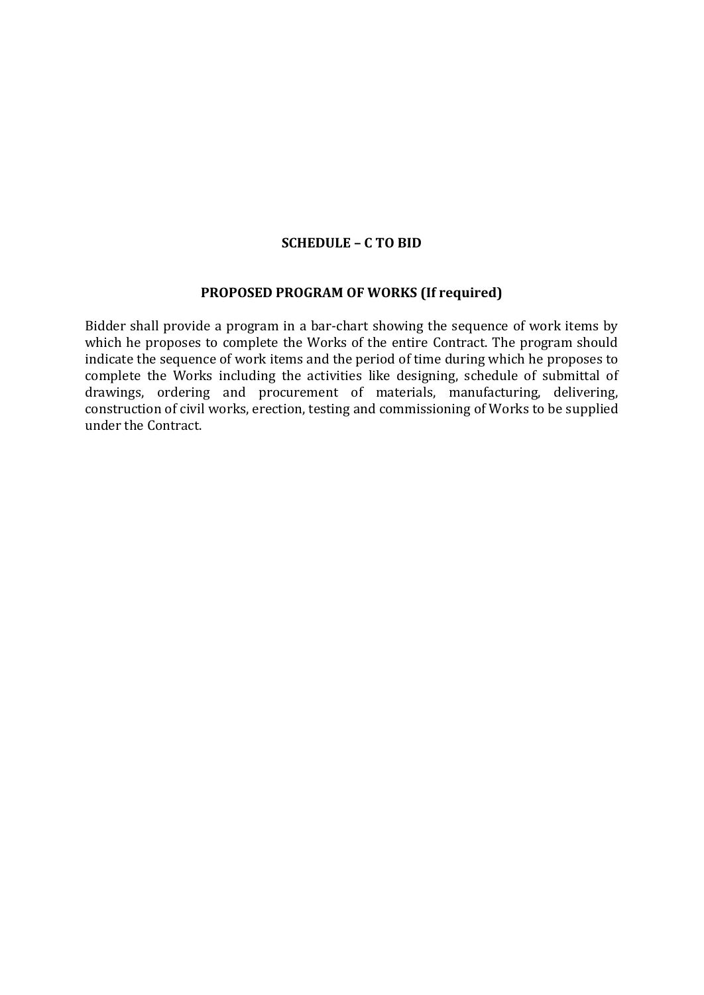#### **SCHEDULE – C TO BID**

#### **PROPOSED PROGRAM OF WORKS (If required)**

Bidder shall provide a program in a bar-chart showing the sequence of work items by which he proposes to complete the Works of the entire Contract. The program should indicate the sequence of work items and the period of time during which he proposes to complete the Works including the activities like designing, schedule of submittal of drawings, ordering and procurement of materials, manufacturing, delivering, construction of civil works, erection, testing and commissioning of Works to be supplied under the Contract.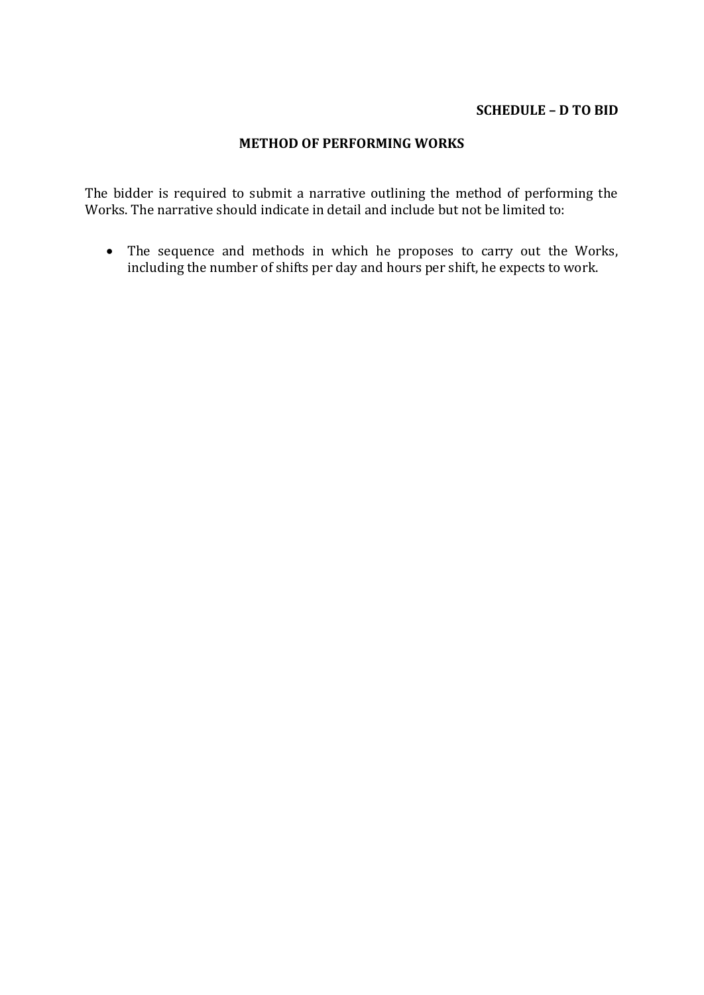#### **SCHEDULE – D TO BID**

#### **METHOD OF PERFORMING WORKS**

The bidder is required to submit a narrative outlining the method of performing the Works. The narrative should indicate in detail and include but not be limited to:

 The sequence and methods in which he proposes to carry out the Works, including the number of shifts per day and hours per shift, he expects to work.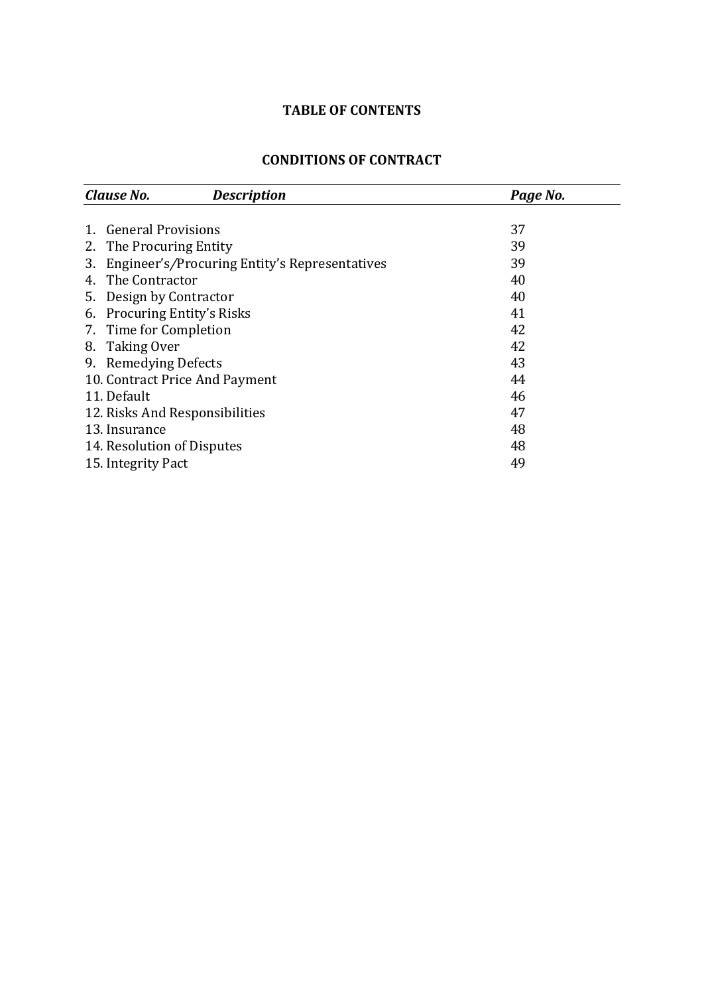# **TABLE OF CONTENTS**

#### **CONDITIONS OF CONTRACT**

<span id="page-29-0"></span>

|         | Clause No.<br><b>Description</b>              | Page No. |
|---------|-----------------------------------------------|----------|
|         |                                               |          |
| $1_{-}$ | <b>General Provisions</b>                     | 37       |
| 2.      | The Procuring Entity                          | 39       |
| 3.      | Engineer's/Procuring Entity's Representatives | 39       |
| 4.      | The Contractor                                | 40       |
|         | 5. Design by Contractor                       | 40       |
| 6.      | <b>Procuring Entity's Risks</b>               | 41       |
|         | 7. Time for Completion                        | 42       |
|         | 8. Taking Over                                | 42       |
|         | 9. Remedying Defects                          | 43       |
|         | 10. Contract Price And Payment                | 44       |
|         | 11. Default                                   | 46       |
|         | 12. Risks And Responsibilities                | 47       |
|         | 13. Insurance                                 | 48       |
|         | 14. Resolution of Disputes                    | 48       |
|         | 15. Integrity Pact                            | 49       |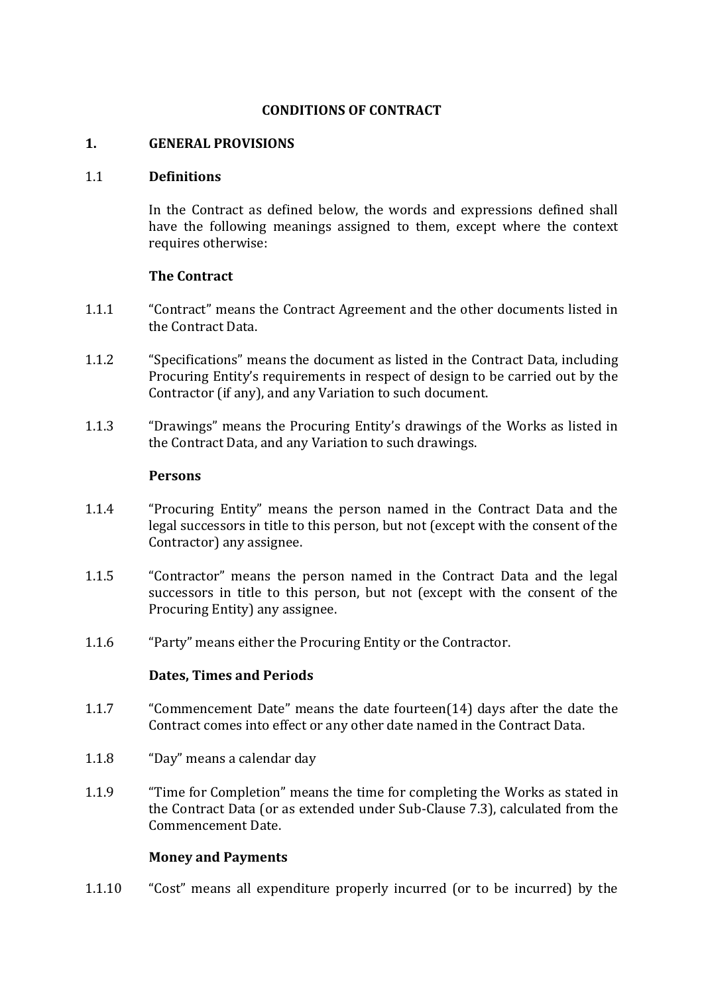#### **CONDITIONS OF CONTRACT**

#### **1. GENERAL PROVISIONS**

#### 1.1 **Definitions**

In the Contract as defined below, the words and expressions defined shall have the following meanings assigned to them, except where the context requires otherwise:

#### **The Contract**

- 1.1.1 "Contract" means the Contract Agreement and the other documents listed in the Contract Data.
- 1.1.2 "Specifications" means the document as listed in the Contract Data, including Procuring Entity's requirements in respect of design to be carried out by the Contractor (if any), and any Variation to such document.
- 1.1.3 "Drawings" means the Procuring Entity's drawings of the Works as listed in the Contract Data, and any Variation to such drawings.

#### **Persons**

- 1.1.4 "Procuring Entity" means the person named in the Contract Data and the legal successors in title to this person, but not (except with the consent of the Contractor) any assignee.
- 1.1.5 "Contractor" means the person named in the Contract Data and the legal successors in title to this person, but not (except with the consent of the Procuring Entity) any assignee.
- 1.1.6 "Party" means either the Procuring Entity or the Contractor.

#### **Dates, Times and Periods**

- 1.1.7 "Commencement Date" means the date fourteen(14) days after the date the Contract comes into effect or any other date named in the Contract Data.
- 1.1.8 "Day" means a calendar day
- 1.1.9 "Time for Completion" means the time for completing the Works as stated in the Contract Data (or as extended under Sub-Clause 7.3), calculated from the Commencement Date.

#### **Money and Payments**

1.1.10 "Cost" means all expenditure properly incurred (or to be incurred) by the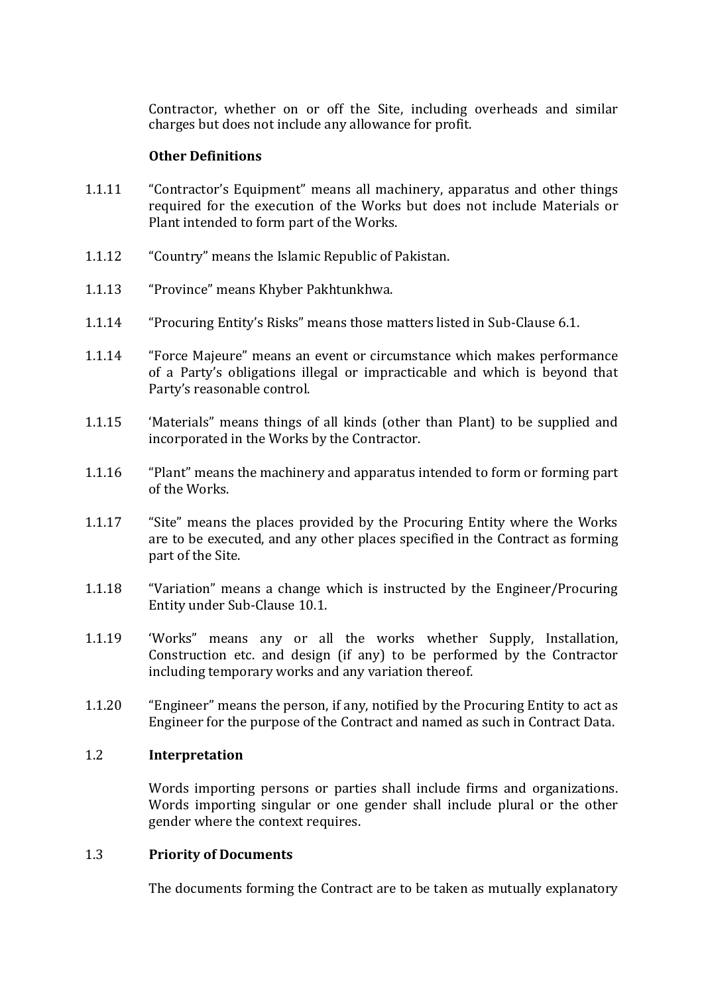Contractor, whether on or off the Site, including overheads and similar charges but does not include any allowance for profit.

#### **Other Definitions**

- 1.1.11 "Contractor's Equipment" means all machinery, apparatus and other things required for the execution of the Works but does not include Materials or Plant intended to form part of the Works.
- 1.1.12 "Country" means the Islamic Republic of Pakistan.
- 1.1.13 "Province" means Khyber Pakhtunkhwa.
- 1.1.14 "Procuring Entity's Risks" means those matters listed in Sub-Clause 6.1.
- 1.1.14 "Force Majeure" means an event or circumstance which makes performance of a Party's obligations illegal or impracticable and which is beyond that Party's reasonable control.
- 1.1.15 'Materials" means things of all kinds (other than Plant) to be supplied and incorporated in the Works by the Contractor.
- 1.1.16 "Plant" means the machinery and apparatus intended to form or forming part of the Works.
- 1.1.17 "Site" means the places provided by the Procuring Entity where the Works are to be executed, and any other places specified in the Contract as forming part of the Site.
- 1.1.18 "Variation" means a change which is instructed by the Engineer/Procuring Entity under Sub-Clause 10.1.
- 1.1.19 'Works" means any or all the works whether Supply, Installation, Construction etc. and design (if any) to be performed by the Contractor including temporary works and any variation thereof.
- 1.1.20 "Engineer" means the person, if any, notified by the Procuring Entity to act as Engineer for the purpose of the Contract and named as such in Contract Data.

#### 1.2 **Interpretation**

Words importing persons or parties shall include firms and organizations. Words importing singular or one gender shall include plural or the other gender where the context requires.

#### 1.3 **Priority of Documents**

The documents forming the Contract are to be taken as mutually explanatory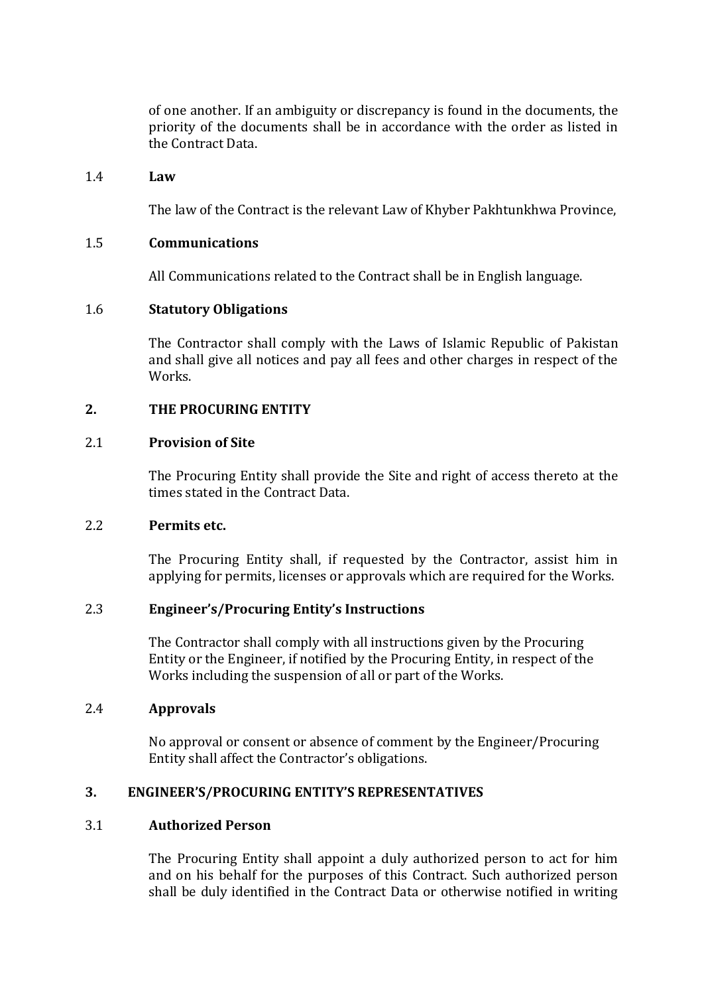of one another. If an ambiguity or discrepancy is found in the documents, the priority of the documents shall be in accordance with the order as listed in the Contract Data.

#### 1.4 **Law**

The law of the Contract is the relevant Law of Khyber Pakhtunkhwa Province,

#### 1.5 **Communications**

All Communications related to the Contract shall be in English language.

#### 1.6 **Statutory Obligations**

The Contractor shall comply with the Laws of Islamic Republic of Pakistan and shall give all notices and pay all fees and other charges in respect of the Works.

#### **2. THE PROCURING ENTITY**

#### 2.1 **Provision of Site**

The Procuring Entity shall provide the Site and right of access thereto at the times stated in the Contract Data.

#### 2.2 **Permits etc.**

The Procuring Entity shall, if requested by the Contractor, assist him in applying for permits, licenses or approvals which are required for the Works.

#### 2.3 **Engineer's/Procuring Entity's Instructions**

The Contractor shall comply with all instructions given by the Procuring Entity or the Engineer, if notified by the Procuring Entity, in respect of the Works including the suspension of all or part of the Works.

#### 2.4 **Approvals**

No approval or consent or absence of comment by the Engineer/Procuring Entity shall affect the Contractor's obligations.

#### **3. ENGINEER'S/PROCURING ENTITY'S REPRESENTATIVES**

#### 3.1 **Authorized Person**

The Procuring Entity shall appoint a duly authorized person to act for him and on his behalf for the purposes of this Contract. Such authorized person shall be duly identified in the Contract Data or otherwise notified in writing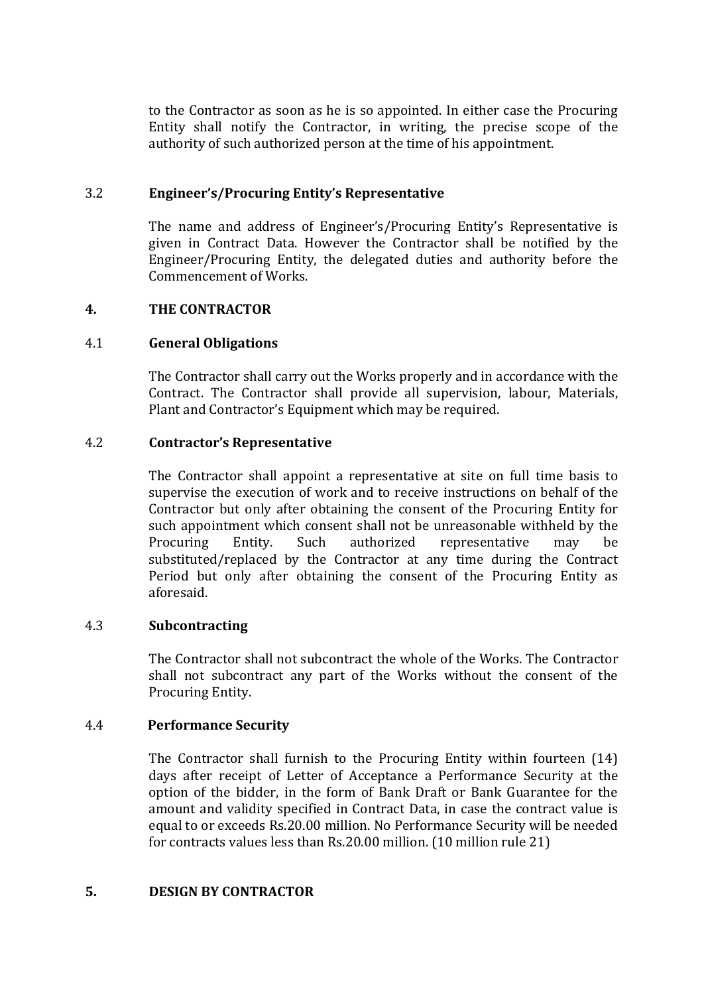to the Contractor as soon as he is so appointed. In either case the Procuring Entity shall notify the Contractor, in writing, the precise scope of the authority of such authorized person at the time of his appointment.

#### 3.2 **Engineer's/Procuring Entity's Representative**

The name and address of Engineer's/Procuring Entity's Representative is given in Contract Data. However the Contractor shall be notified by the Engineer/Procuring Entity, the delegated duties and authority before the Commencement of Works.

#### **4. THE CONTRACTOR**

#### 4.1 **General Obligations**

The Contractor shall carry out the Works properly and in accordance with the Contract. The Contractor shall provide all supervision, labour, Materials, Plant and Contractor's Equipment which may be required.

#### 4.2 **Contractor's Representative**

The Contractor shall appoint a representative at site on full time basis to supervise the execution of work and to receive instructions on behalf of the Contractor but only after obtaining the consent of the Procuring Entity for such appointment which consent shall not be unreasonable withheld by the Procuring Entity. Such authorized representative may be substituted/replaced by the Contractor at any time during the Contract Period but only after obtaining the consent of the Procuring Entity as aforesaid.

#### 4.3 **Subcontracting**

The Contractor shall not subcontract the whole of the Works. The Contractor shall not subcontract any part of the Works without the consent of the Procuring Entity.

#### 4.4 **Performance Security**

The Contractor shall furnish to the Procuring Entity within fourteen (14) days after receipt of Letter of Acceptance a Performance Security at the option of the bidder, in the form of Bank Draft or Bank Guarantee for the amount and validity specified in Contract Data, in case the contract value is equal to or exceeds Rs.20.00 million. No Performance Security will be needed for contracts values less than Rs.20.00 million. (10 million rule 21)

#### **5. DESIGN BY CONTRACTOR**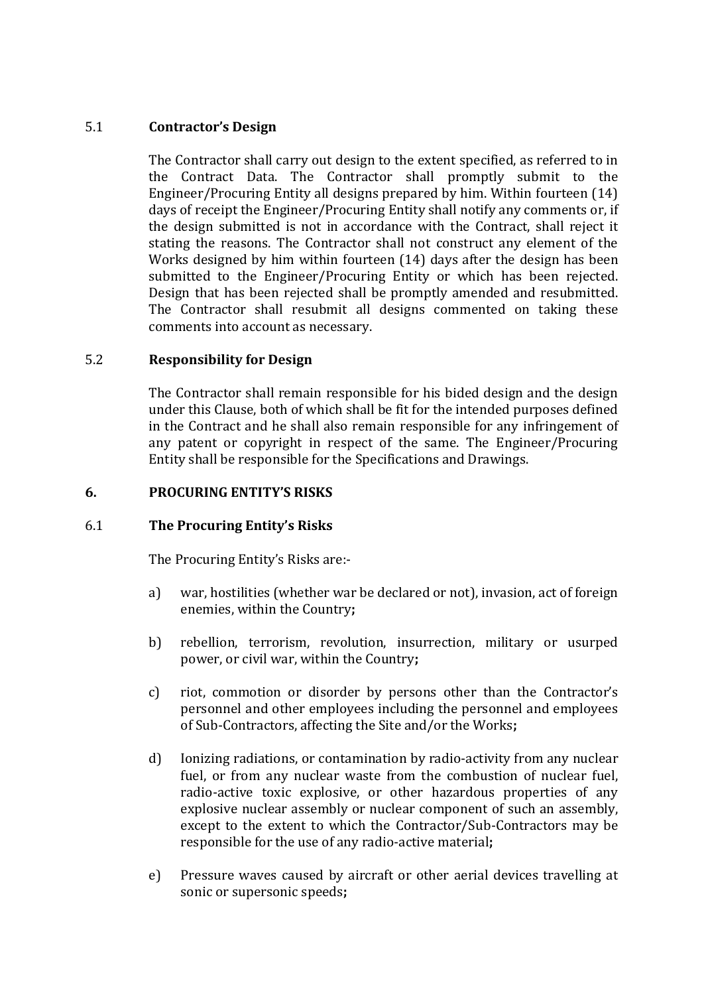#### 5.1 **Contractor's Design**

The Contractor shall carry out design to the extent specified, as referred to in the Contract Data. The Contractor shall promptly submit to the Engineer/Procuring Entity all designs prepared by him. Within fourteen (14) days of receipt the Engineer/Procuring Entity shall notify any comments or, if the design submitted is not in accordance with the Contract, shall reject it stating the reasons. The Contractor shall not construct any element of the Works designed by him within fourteen (14) days after the design has been submitted to the Engineer/Procuring Entity or which has been rejected. Design that has been rejected shall be promptly amended and resubmitted. The Contractor shall resubmit all designs commented on taking these comments into account as necessary.

#### 5.2 **Responsibility for Design**

The Contractor shall remain responsible for his bided design and the design under this Clause, both of which shall be fit for the intended purposes defined in the Contract and he shall also remain responsible for any infringement of any patent or copyright in respect of the same. The Engineer/Procuring Entity shall be responsible for the Specifications and Drawings.

#### **6. PROCURING ENTITY'S RISKS**

#### 6.1 **The Procuring Entity's Risks**

The Procuring Entity's Risks are:-

- a) war, hostilities (whether war be declared or not), invasion, act of foreign enemies, within the Country**;**
- b) rebellion, terrorism, revolution, insurrection, military or usurped power, or civil war, within the Country**;**
- c) riot, commotion or disorder by persons other than the Contractor's personnel and other employees including the personnel and employees of Sub-Contractors, affecting the Site and/or the Works**;**
- d) Ionizing radiations, or contamination by radio-activity from any nuclear fuel, or from any nuclear waste from the combustion of nuclear fuel, radio-active toxic explosive, or other hazardous properties of any explosive nuclear assembly or nuclear component of such an assembly, except to the extent to which the Contractor/Sub-Contractors may be responsible for the use of any radio-active material**;**
- e) Pressure waves caused by aircraft or other aerial devices travelling at sonic or supersonic speeds**;**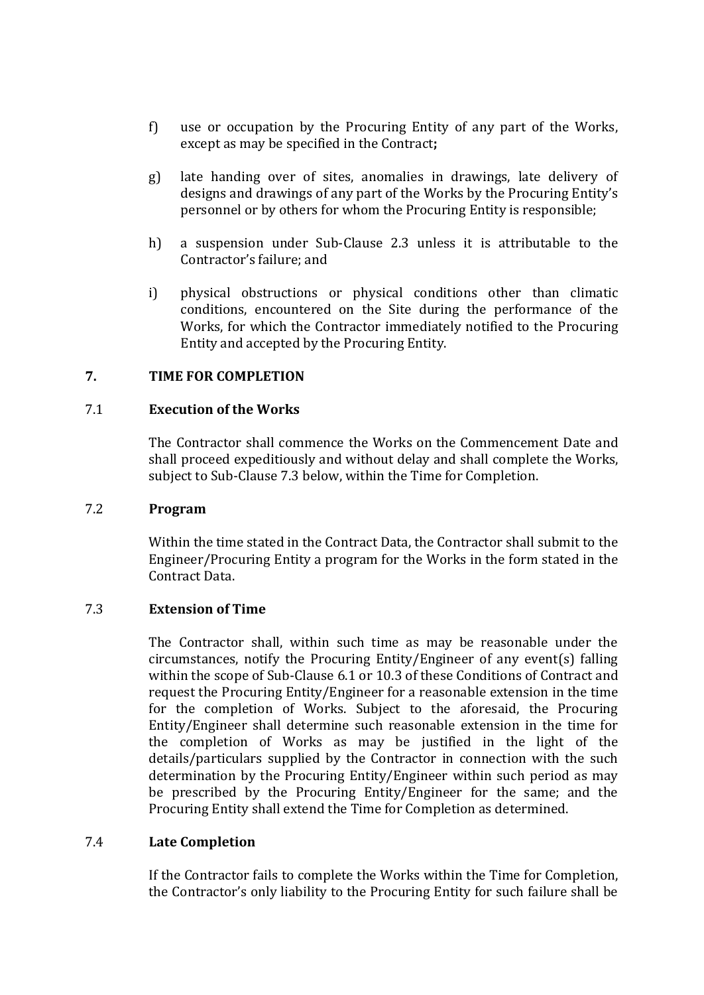- f) use or occupation by the Procuring Entity of any part of the Works, except as may be specified in the Contract**;**
- g) late handing over of sites, anomalies in drawings, late delivery of designs and drawings of any part of the Works by the Procuring Entity's personnel or by others for whom the Procuring Entity is responsible;
- h) a suspension under Sub-Clause 2.3 unless it is attributable to the Contractor's failure; and
- i) physical obstructions or physical conditions other than climatic conditions, encountered on the Site during the performance of the Works, for which the Contractor immediately notified to the Procuring Entity and accepted by the Procuring Entity.

#### **7. TIME FOR COMPLETION**

#### 7.1 **Execution of the Works**

The Contractor shall commence the Works on the Commencement Date and shall proceed expeditiously and without delay and shall complete the Works, subject to Sub-Clause 7.3 below, within the Time for Completion.

#### 7.2 **Program**

Within the time stated in the Contract Data, the Contractor shall submit to the Engineer/Procuring Entity a program for the Works in the form stated in the Contract Data.

#### 7.3 **Extension of Time**

The Contractor shall, within such time as may be reasonable under the circumstances, notify the Procuring Entity/Engineer of any event(s) falling within the scope of Sub-Clause 6.1 or 10.3 of these Conditions of Contract and request the Procuring Entity/Engineer for a reasonable extension in the time for the completion of Works. Subject to the aforesaid, the Procuring Entity/Engineer shall determine such reasonable extension in the time for the completion of Works as may be justified in the light of the details/particulars supplied by the Contractor in connection with the such determination by the Procuring Entity/Engineer within such period as may be prescribed by the Procuring Entity/Engineer for the same; and the Procuring Entity shall extend the Time for Completion as determined.

#### 7.4 **Late Completion**

If the Contractor fails to complete the Works within the Time for Completion, the Contractor's only liability to the Procuring Entity for such failure shall be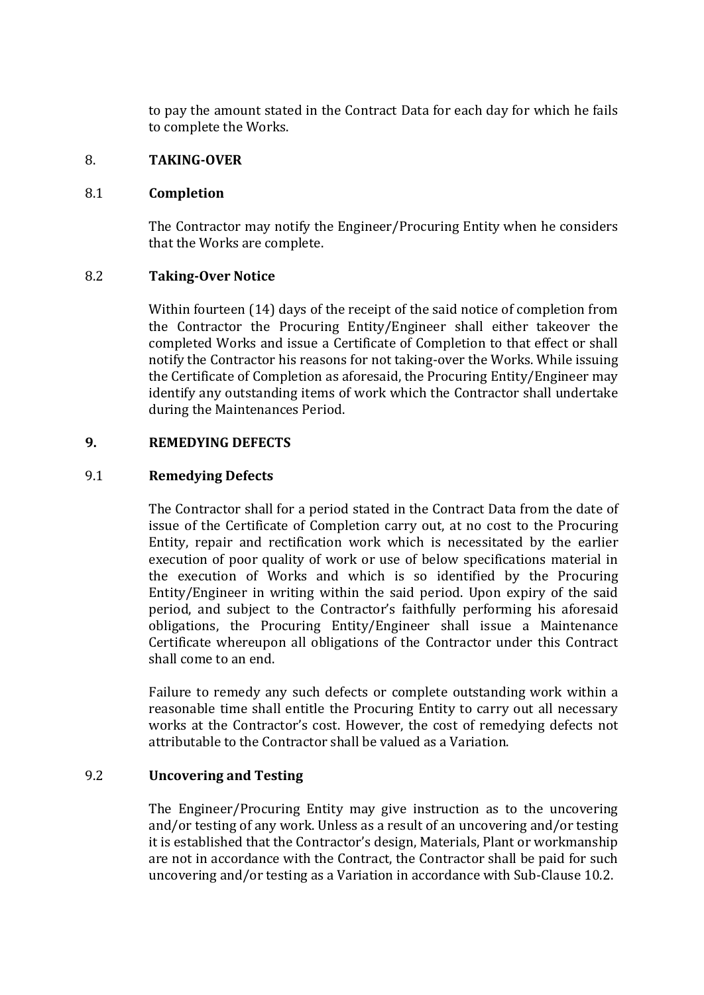to pay the amount stated in the Contract Data for each day for which he fails to complete the Works.

#### 8. **TAKING-OVER**

#### 8.1 **Completion**

The Contractor may notify the Engineer/Procuring Entity when he considers that the Works are complete.

#### 8.2 **Taking-Over Notice**

Within fourteen (14) days of the receipt of the said notice of completion from the Contractor the Procuring Entity/Engineer shall either takeover the completed Works and issue a Certificate of Completion to that effect or shall notify the Contractor his reasons for not taking-over the Works. While issuing the Certificate of Completion as aforesaid, the Procuring Entity/Engineer may identify any outstanding items of work which the Contractor shall undertake during the Maintenances Period.

#### **9. REMEDYING DEFECTS**

#### 9.1 **Remedying Defects**

The Contractor shall for a period stated in the Contract Data from the date of issue of the Certificate of Completion carry out, at no cost to the Procuring Entity, repair and rectification work which is necessitated by the earlier execution of poor quality of work or use of below specifications material in the execution of Works and which is so identified by the Procuring Entity/Engineer in writing within the said period. Upon expiry of the said period, and subject to the Contractor's faithfully performing his aforesaid obligations, the Procuring Entity/Engineer shall issue a Maintenance Certificate whereupon all obligations of the Contractor under this Contract shall come to an end.

Failure to remedy any such defects or complete outstanding work within a reasonable time shall entitle the Procuring Entity to carry out all necessary works at the Contractor's cost. However, the cost of remedying defects not attributable to the Contractor shall be valued as a Variation.

#### 9.2 **Uncovering and Testing**

The Engineer/Procuring Entity may give instruction as to the uncovering and/or testing of any work. Unless as a result of an uncovering and/or testing it is established that the Contractor's design, Materials, Plant or workmanship are not in accordance with the Contract, the Contractor shall be paid for such uncovering and/or testing as a Variation in accordance with Sub-Clause 10.2.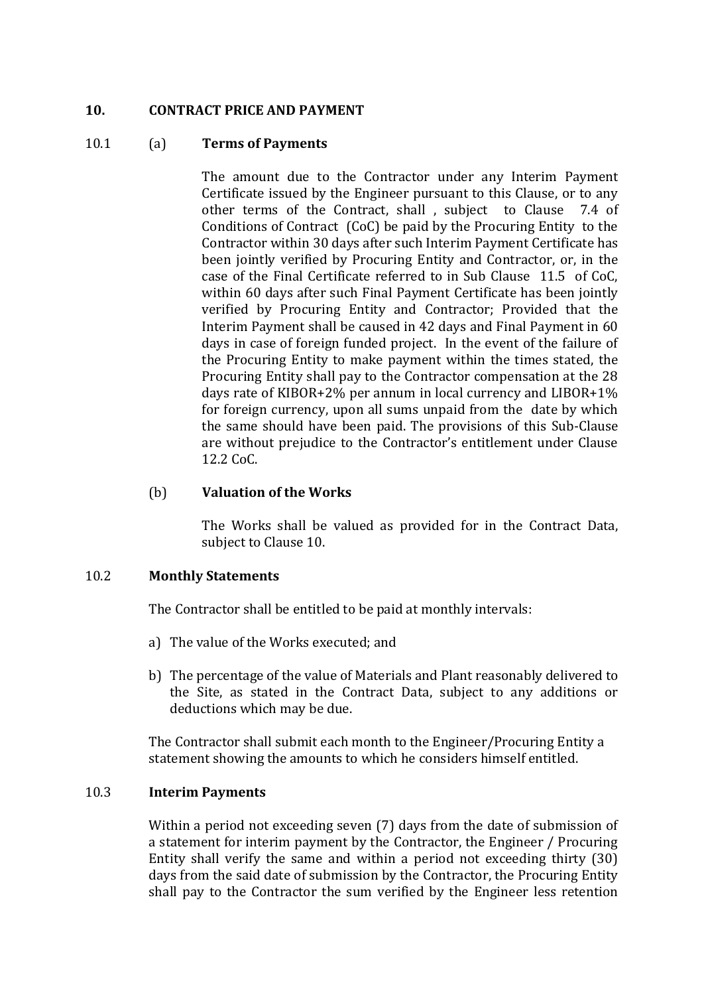#### **10. CONTRACT PRICE AND PAYMENT**

#### 10.1 (a) **Terms of Payments**

The amount due to the Contractor under any Interim Payment Certificate issued by the Engineer pursuant to this Clause, or to any other terms of the Contract, shall , subject to Clause 7.4 of Conditions of Contract (CoC) be paid by the Procuring Entity to the Contractor within 30 days after such Interim Payment Certificate has been jointly verified by Procuring Entity and Contractor, or, in the case of the Final Certificate referred to in Sub Clause 11.5 of CoC, within 60 days after such Final Payment Certificate has been jointly verified by Procuring Entity and Contractor; Provided that the Interim Payment shall be caused in 42 days and Final Payment in 60 days in case of foreign funded project. In the event of the failure of the Procuring Entity to make payment within the times stated, the Procuring Entity shall pay to the Contractor compensation at the 28 days rate of KIBOR+2% per annum in local currency and LIBOR+1% for foreign currency, upon all sums unpaid from the date by which the same should have been paid. The provisions of this Sub-Clause are without prejudice to the Contractor's entitlement under Clause 12.2 CoC.

#### (b) **Valuation of the Works**

The Works shall be valued as provided for in the Contract Data, subject to Clause 10.

#### 10.2 **Monthly Statements**

The Contractor shall be entitled to be paid at monthly intervals:

- a) The value of the Works executed; and
- b) The percentage of the value of Materials and Plant reasonably delivered to the Site, as stated in the Contract Data, subject to any additions or deductions which may be due.

The Contractor shall submit each month to the Engineer/Procuring Entity a statement showing the amounts to which he considers himself entitled.

#### 10.3 **Interim Payments**

Within a period not exceeding seven (7) days from the date of submission of a statement for interim payment by the Contractor, the Engineer / Procuring Entity shall verify the same and within a period not exceeding thirty (30) days from the said date of submission by the Contractor, the Procuring Entity shall pay to the Contractor the sum verified by the Engineer less retention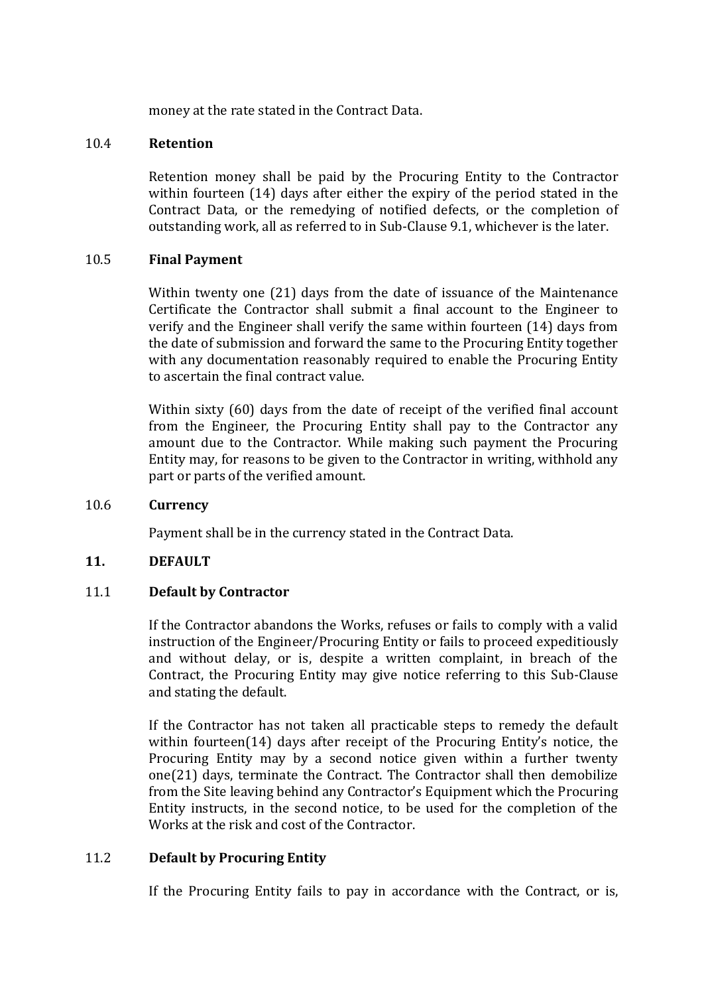money at the rate stated in the Contract Data.

#### 10.4 **Retention**

Retention money shall be paid by the Procuring Entity to the Contractor within fourteen (14) days after either the expiry of the period stated in the Contract Data, or the remedying of notified defects, or the completion of outstanding work, all as referred to in Sub-Clause 9.1, whichever is the later.

#### 10.5 **Final Payment**

Within twenty one (21) days from the date of issuance of the Maintenance Certificate the Contractor shall submit a final account to the Engineer to verify and the Engineer shall verify the same within fourteen (14) days from the date of submission and forward the same to the Procuring Entity together with any documentation reasonably required to enable the Procuring Entity to ascertain the final contract value.

Within sixty (60) days from the date of receipt of the verified final account from the Engineer, the Procuring Entity shall pay to the Contractor any amount due to the Contractor. While making such payment the Procuring Entity may, for reasons to be given to the Contractor in writing, withhold any part or parts of the verified amount.

#### 10.6 **Currency**

Payment shall be in the currency stated in the Contract Data.

#### **11. DEFAULT**

#### 11.1 **Default by Contractor**

If the Contractor abandons the Works, refuses or fails to comply with a valid instruction of the Engineer/Procuring Entity or fails to proceed expeditiously and without delay, or is, despite a written complaint, in breach of the Contract, the Procuring Entity may give notice referring to this Sub-Clause and stating the default.

If the Contractor has not taken all practicable steps to remedy the default within fourteen(14) days after receipt of the Procuring Entity's notice, the Procuring Entity may by a second notice given within a further twenty one(21) days, terminate the Contract. The Contractor shall then demobilize from the Site leaving behind any Contractor's Equipment which the Procuring Entity instructs, in the second notice, to be used for the completion of the Works at the risk and cost of the Contractor.

#### 11.2 **Default by Procuring Entity**

If the Procuring Entity fails to pay in accordance with the Contract, or is,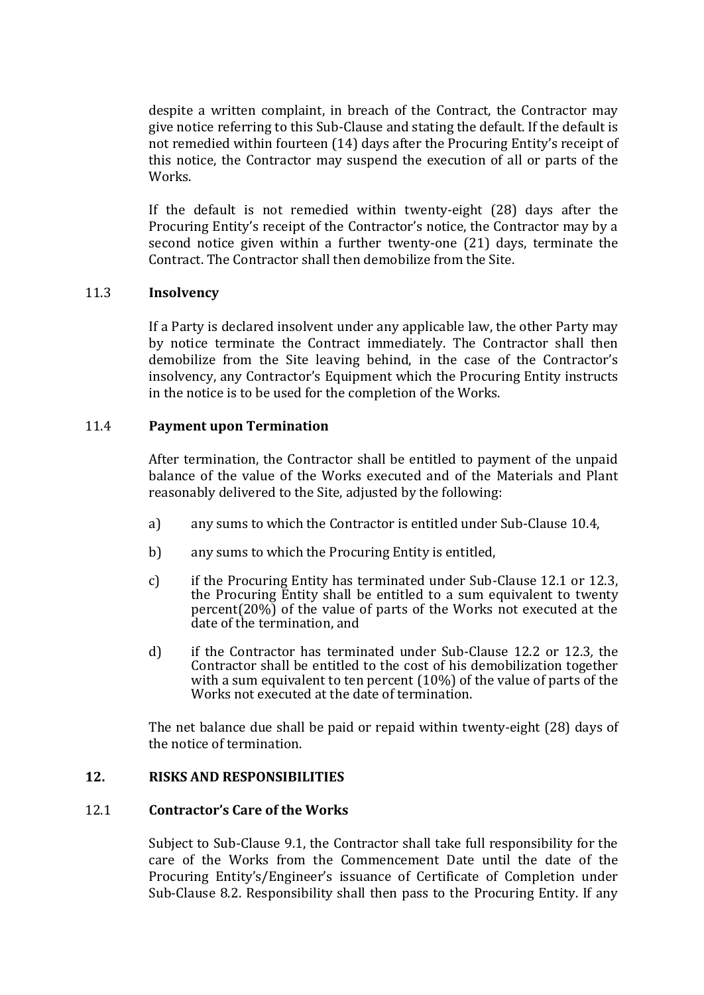despite a written complaint, in breach of the Contract, the Contractor may give notice referring to this Sub-Clause and stating the default. If the default is not remedied within fourteen (14) days after the Procuring Entity's receipt of this notice, the Contractor may suspend the execution of all or parts of the Works.

If the default is not remedied within twenty-eight (28) days after the Procuring Entity's receipt of the Contractor's notice, the Contractor may by a second notice given within a further twenty-one (21) days, terminate the Contract. The Contractor shall then demobilize from the Site.

#### 11.3 **Insolvency**

If a Party is declared insolvent under any applicable law, the other Party may by notice terminate the Contract immediately. The Contractor shall then demobilize from the Site leaving behind, in the case of the Contractor's insolvency, any Contractor's Equipment which the Procuring Entity instructs in the notice is to be used for the completion of the Works.

#### 11.4 **Payment upon Termination**

After termination, the Contractor shall be entitled to payment of the unpaid balance of the value of the Works executed and of the Materials and Plant reasonably delivered to the Site, adjusted by the following:

- a) any sums to which the Contractor is entitled under Sub-Clause 10.4,
- b) any sums to which the Procuring Entity is entitled,
- c) if the Procuring Entity has terminated under Sub-Clause 12.1 or 12.3, the Procuring Entity shall be entitled to a sum equivalent to twenty percent(20%) of the value of parts of the Works not executed at the date of the termination, and
- d) if the Contractor has terminated under Sub-Clause 12.2 or 12.3*,* the Contractor shall be entitled to the cost of his demobilization together with a sum equivalent to ten percent (10%) of the value of parts of the Works not executed at the date of termination.

The net balance due shall be paid or repaid within twenty-eight (28) days of the notice of termination.

#### **12. RISKS AND RESPONSIBILITIES**

#### 12.1 **Contractor's Care of the Works**

Subject to Sub-Clause 9.1, the Contractor shall take full responsibility for the care of the Works from the Commencement Date until the date of the Procuring Entity's/Engineer's issuance of Certificate of Completion under Sub-Clause 8.2. Responsibility shall then pass to the Procuring Entity. If any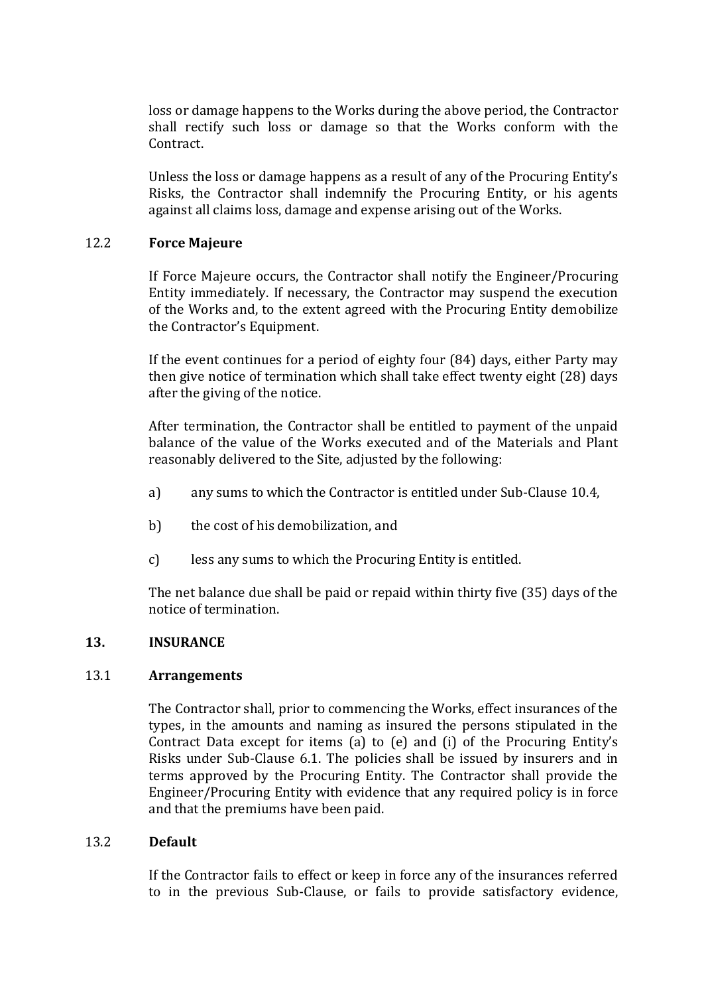loss or damage happens to the Works during the above period, the Contractor shall rectify such loss or damage so that the Works conform with the Contract.

Unless the loss or damage happens as a result of any of the Procuring Entity's Risks, the Contractor shall indemnify the Procuring Entity, or his agents against all claims loss, damage and expense arising out of the Works.

#### 12.2 **Force Majeure**

If Force Majeure occurs, the Contractor shall notify the Engineer/Procuring Entity immediately. If necessary, the Contractor may suspend the execution of the Works and, to the extent agreed with the Procuring Entity demobilize the Contractor's Equipment.

If the event continues for a period of eighty four (84) days, either Party may then give notice of termination which shall take effect twenty eight (28) days after the giving of the notice.

After termination, the Contractor shall be entitled to payment of the unpaid balance of the value of the Works executed and of the Materials and Plant reasonably delivered to the Site, adjusted by the following:

- a) any sums to which the Contractor is entitled under Sub-Clause 10.4,
- b) the cost of his demobilization, and
- c) less any sums to which the Procuring Entity is entitled.

The net balance due shall be paid or repaid within thirty five (35) days of the notice of termination.

#### **13. INSURANCE**

#### 13.1 **Arrangements**

The Contractor shall, prior to commencing the Works, effect insurances of the types, in the amounts and naming as insured the persons stipulated in the Contract Data except for items (a) to (e) and (i) of the Procuring Entity's Risks under Sub-Clause 6.1. The policies shall be issued by insurers and in terms approved by the Procuring Entity. The Contractor shall provide the Engineer/Procuring Entity with evidence that any required policy is in force and that the premiums have been paid.

#### 13.2 **Default**

If the Contractor fails to effect or keep in force any of the insurances referred to in the previous Sub-Clause, or fails to provide satisfactory evidence,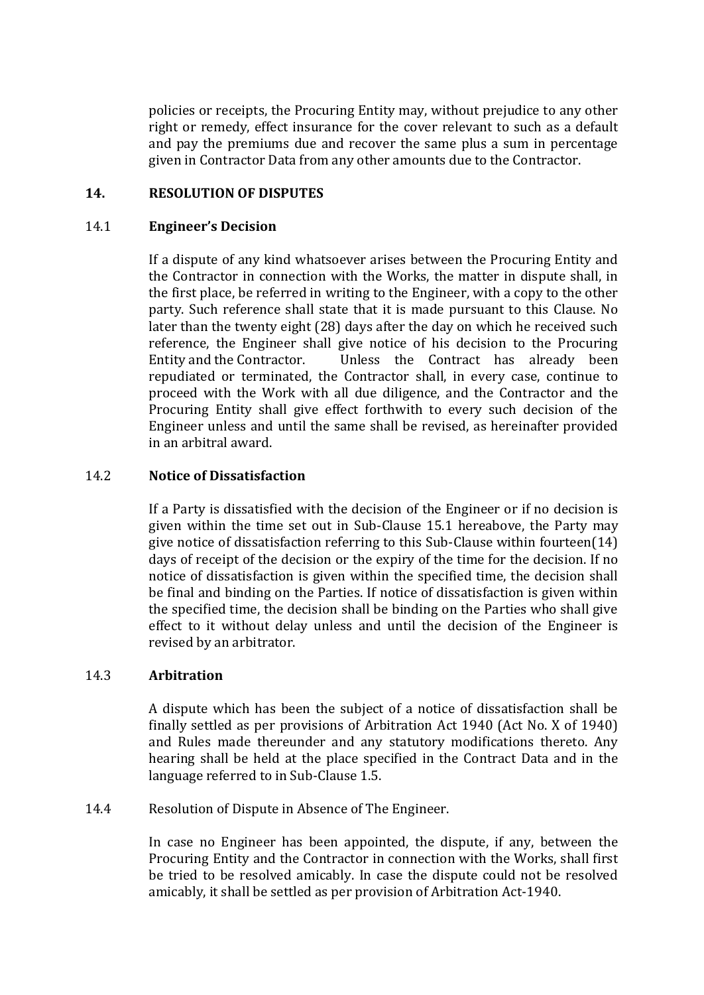policies or receipts, the Procuring Entity may, without prejudice to any other right or remedy, effect insurance for the cover relevant to such as a default and pay the premiums due and recover the same plus a sum in percentage given in Contractor Data from any other amounts due to the Contractor.

#### **14. RESOLUTION OF DISPUTES**

#### 14.1 **Engineer's Decision**

If a dispute of any kind whatsoever arises between the Procuring Entity and the Contractor in connection with the Works, the matter in dispute shall, in the first place, be referred in writing to the Engineer, with a copy to the other party. Such reference shall state that it is made pursuant to this Clause. No later than the twenty eight (28) days after the day on which he received such reference, the Engineer shall give notice of his decision to the Procuring Entity and the Contractor. Unless the Contract has already been repudiated or terminated, the Contractor shall, in every case, continue to proceed with the Work with all due diligence, and the Contractor and the Procuring Entity shall give effect forthwith to every such decision of the Engineer unless and until the same shall be revised, as hereinafter provided in an arbitral award.

#### 14.2 **Notice of Dissatisfaction**

If a Party is dissatisfied with the decision of the Engineer or if no decision is given within the time set out in Sub-Clause 15.1 hereabove, the Party may give notice of dissatisfaction referring to this Sub-Clause within fourteen(14) days of receipt of the decision or the expiry of the time for the decision. If no notice of dissatisfaction is given within the specified time, the decision shall be final and binding on the Parties. If notice of dissatisfaction is given within the specified time, the decision shall be binding on the Parties who shall give effect to it without delay unless and until the decision of the Engineer is revised by an arbitrator.

#### 14.3 **Arbitration**

A dispute which has been the subject of a notice of dissatisfaction shall be finally settled as per provisions of Arbitration Act 1940 (Act No. X of 1940) and Rules made thereunder and any statutory modifications thereto. Any hearing shall be held at the place specified in the Contract Data and in the language referred to in Sub-Clause 1.5.

14.4 Resolution of Dispute in Absence of The Engineer.

In case no Engineer has been appointed, the dispute, if any, between the Procuring Entity and the Contractor in connection with the Works, shall first be tried to be resolved amicably. In case the dispute could not be resolved amicably, it shall be settled as per provision of Arbitration Act-1940.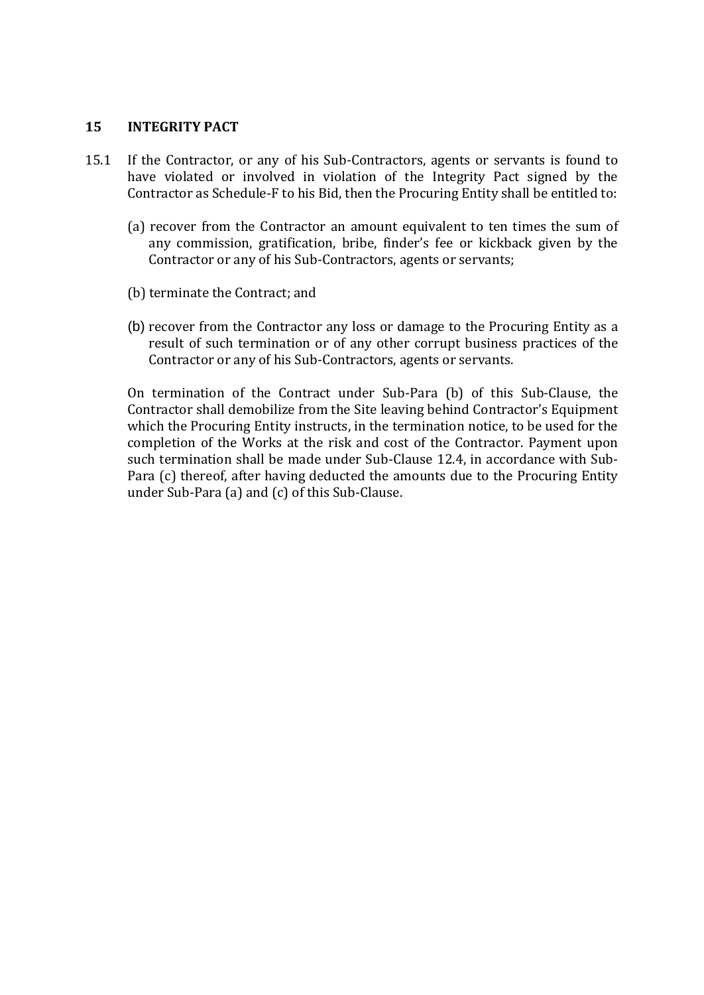#### **15 INTEGRITY PACT**

- 15.1 If the Contractor, or any of his Sub-Contractors, agents or servants is found to have violated or involved in violation of the Integrity Pact signed by the Contractor as Schedule-F to his Bid, then the Procuring Entity shall be entitled to:
	- (a) recover from the Contractor an amount equivalent to ten times the sum of any commission, gratification, bribe, finder's fee or kickback given by the Contractor or any of his Sub-Contractors, agents or servants;
	- (b) terminate the Contract; and
	- (b) recover from the Contractor any loss or damage to the Procuring Entity as a result of such termination or of any other corrupt business practices of the Contractor or any of his Sub-Contractors, agents or servants.

On termination of the Contract under Sub-Para (b) of this Sub-Clause, the Contractor shall demobilize from the Site leaving behind Contractor's Equipment which the Procuring Entity instructs, in the termination notice, to be used for the completion of the Works at the risk and cost of the Contractor. Payment upon such termination shall be made under Sub-Clause 12.4, in accordance with Sub-Para (c) thereof, after having deducted the amounts due to the Procuring Entity under Sub-Para (a) and (c) of this Sub-Clause.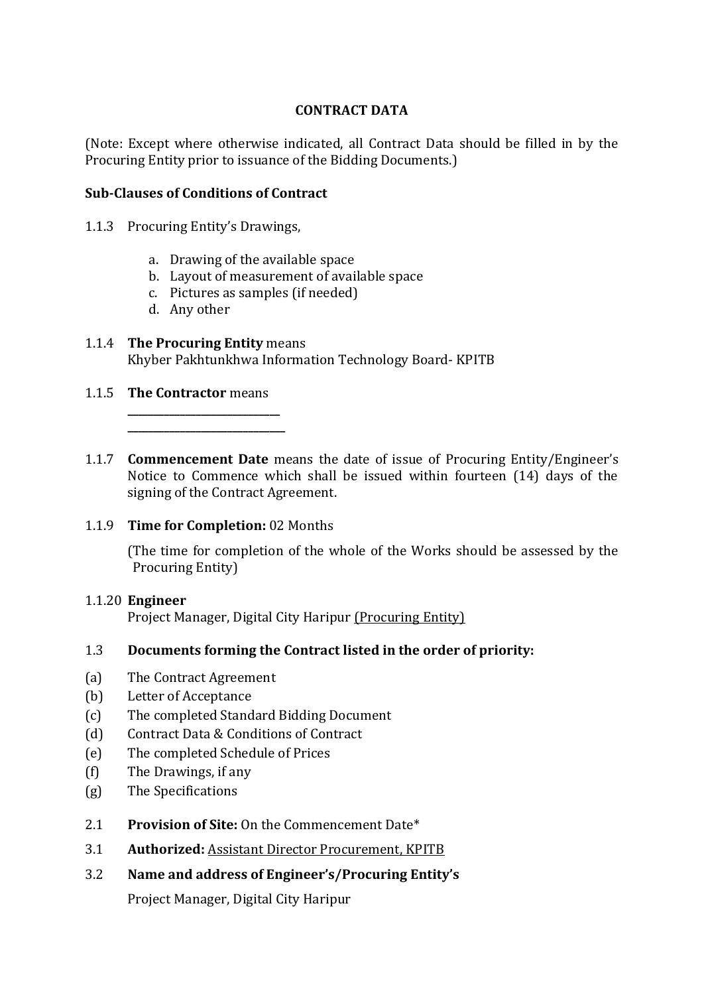#### **CONTRACT DATA**

(Note: Except where otherwise indicated, all Contract Data should be filled in by the Procuring Entity prior to issuance of the Bidding Documents.)

#### **Sub-Clauses of Conditions of Contract**

- 1.1.3 Procuring Entity's Drawings,
	- a. Drawing of the available space
	- b. Layout of measurement of available space
	- c. Pictures as samples (if needed)
	- d. Any other

#### 1.1.4 **The Procuring Entity** means Khyber Pakhtunkhwa Information Technology Board- KPITB

#### 1.1.5 **The Contractor** means

**\_\_\_\_\_\_\_\_\_\_\_\_\_\_\_\_\_\_\_\_\_\_\_\_\_\_\_\_\_ \_\_\_\_\_\_\_\_\_\_\_\_\_\_\_\_\_\_\_\_\_\_\_\_\_\_\_\_\_\_**

1.1.7 **Commencement Date** means the date of issue of Procuring Entity/Engineer's Notice to Commence which shall be issued within fourteen (14) days of the signing of the Contract Agreement.

#### 1.1.9 **Time for Completion:** 02 Months

(The time for completion of the whole of the Works should be assessed by the Procuring Entity)

#### 1.1.20 **Engineer**

Project Manager, Digital City Haripur (Procuring Entity)

#### 1.3 **Documents forming the Contract listed in the order of priority:**

- (a) The Contract Agreement
- (b) Letter of Acceptance
- (c) The completed Standard Bidding Document
- (d) Contract Data & Conditions of Contract
- (e) The completed Schedule of Prices
- (f) The Drawings, if any
- (g) The Specifications
- 2.1 **Provision of Site:** On the Commencement Date\*
- 3.1 **Authorized:** Assistant Director Procurement, KPITB
- 3.2 **Name and address of Engineer's/Procuring Entity's**

Project Manager, Digital City Haripur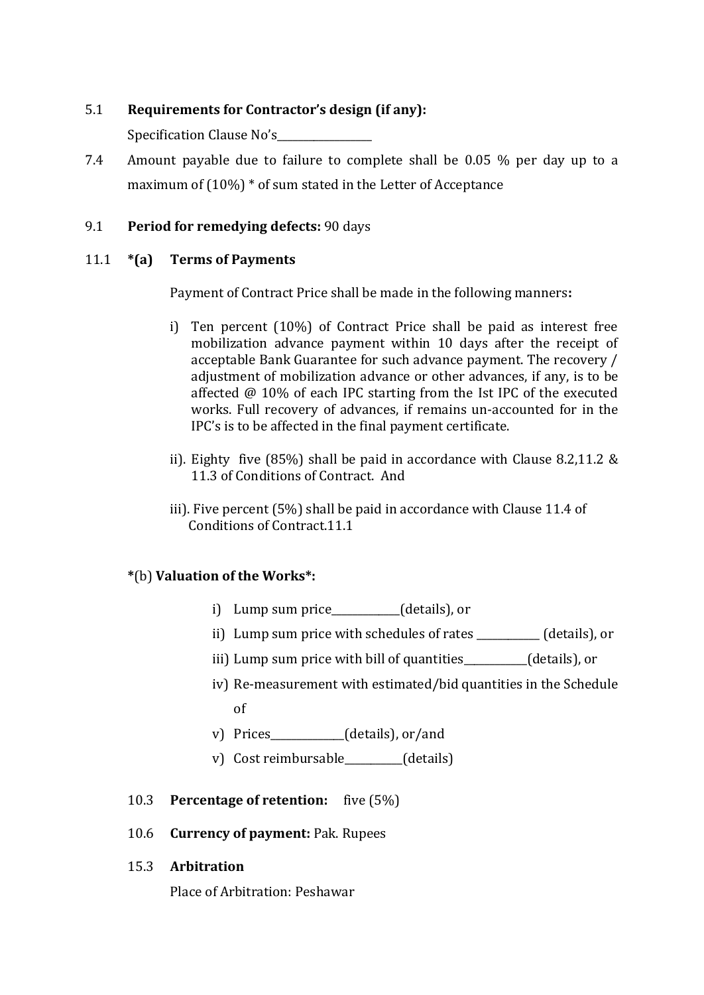#### 5.1 **Requirements for Contractor's design (if any):**

Specification Clause No's

7.4 Amount payable due to failure to complete shall be 0.05 % per day up to a maximum of (10%) \* of sum stated in the Letter of Acceptance

#### 9.1 **Period for remedying defects:** 90 days

#### 11.1 **\*(a) Terms of Payments**

Payment of Contract Price shall be made in the following manners**:**

- i) Ten percent (10%) of Contract Price shall be paid as interest free mobilization advance payment within 10 days after the receipt of acceptable Bank Guarantee for such advance payment. The recovery / adjustment of mobilization advance or other advances, if any, is to be affected @ 10% of each IPC starting from the Ist IPC of the executed works. Full recovery of advances, if remains un-accounted for in the IPC's is to be affected in the final payment certificate.
- ii). Eighty five (85%) shall be paid in accordance with Clause 8.2,11.2 & 11.3 of Conditions of Contract. And
- iii). Five percent (5%) shall be paid in accordance with Clause 11.4 of Conditions of Contract.11.1

#### **\***(b) **Valuation of the Works\*:**

- i) Lump sum price\_\_\_\_\_\_\_\_\_\_\_\_\_(details), or
- ii) Lump sum price with schedules of rates \_\_\_\_\_\_\_\_\_\_\_\_ (details), or
- iii) Lump sum price with bill of quantities (details), or
- iv) Re-measurement with estimated/bid quantities in the Schedule of
- v) Prices\_\_\_\_\_\_\_\_\_\_\_\_\_\_(details), or/and
- v) Cost reimbursable\_\_\_\_\_\_\_\_\_\_\_(details)
- 10.3 **Percentage of retention:** five (5%)
- 10.6 **Currency of payment:** Pak. Rupees
- 15.3 **Arbitration**

Place of Arbitration: Peshawar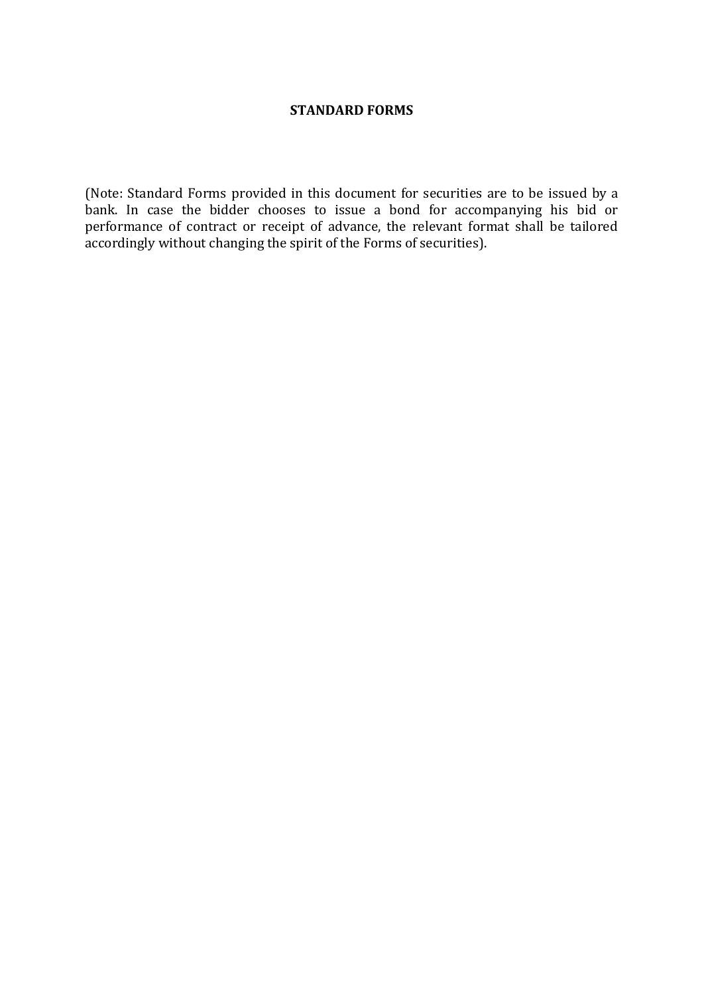#### **STANDARD FORMS**

<span id="page-45-0"></span>(Note: Standard Forms provided in this document for securities are to be issued by a bank. In case the bidder chooses to issue a bond for accompanying his bid or performance of contract or receipt of advance, the relevant format shall be tailored accordingly without changing the spirit of the Forms of securities).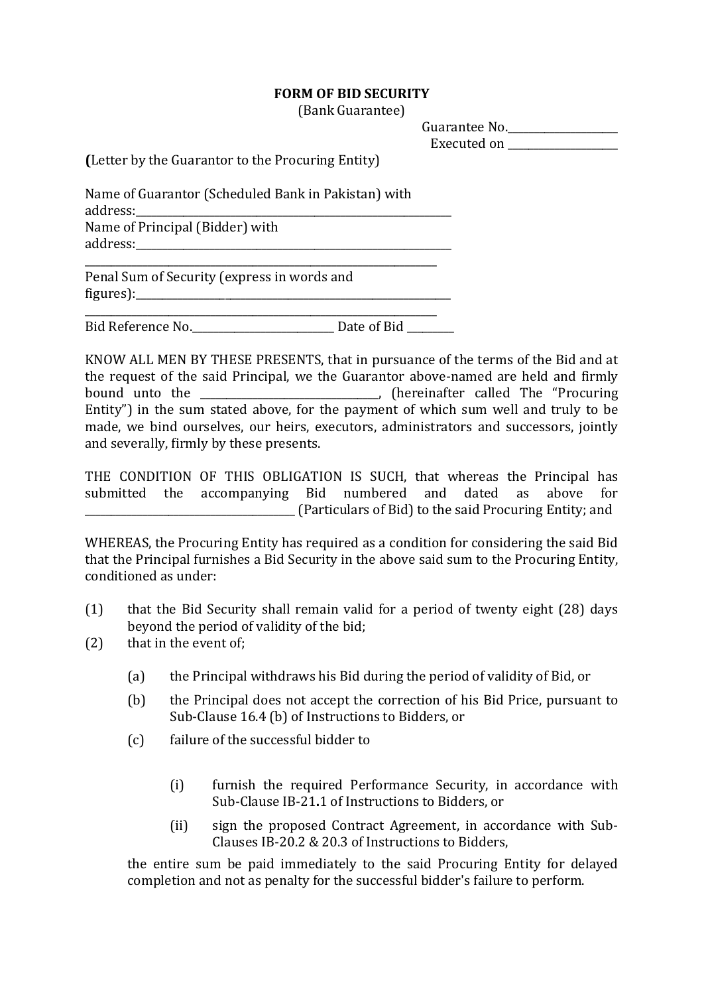#### **FORM OF BID SECURITY**

(Bank Guarantee)

| Guarantee No. |  |
|---------------|--|
| Executed on   |  |

**(**Letter by the Guarantor to the Procuring Entity)

Name of Guarantor (Scheduled Bank in Pakistan) with address: Name of Principal (Bidder) with

address:\_\_\_\_\_\_\_\_\_\_\_\_\_\_\_\_\_\_\_\_\_\_\_\_\_\_\_\_\_\_\_\_\_\_\_\_\_\_\_\_\_\_\_\_\_\_\_\_\_\_\_\_\_\_\_\_\_\_\_\_

Penal Sum of Security (express in words and  $figures$ :

Bid Reference No. The Date of Bid

\_\_\_\_\_\_\_\_\_\_\_\_\_\_\_\_\_\_\_\_\_\_\_\_\_\_\_\_\_\_\_\_\_\_\_\_\_\_\_\_\_\_\_\_\_\_\_\_\_\_\_\_\_\_\_\_\_\_\_\_\_\_\_\_\_\_\_

\_\_\_\_\_\_\_\_\_\_\_\_\_\_\_\_\_\_\_\_\_\_\_\_\_\_\_\_\_\_\_\_\_\_\_\_\_\_\_\_\_\_\_\_\_\_\_\_\_\_\_\_\_\_\_\_\_\_\_\_\_\_\_\_\_\_\_

KNOW ALL MEN BY THESE PRESENTS, that in pursuance of the terms of the Bid and at the request of the said Principal, we the Guarantor above-named are held and firmly bound unto the \_\_\_\_\_\_\_\_\_\_\_\_\_\_\_\_\_\_\_\_\_\_\_\_\_\_\_\_\_\_\_\_\_\_, (hereinafter called The "Procuring Entity") in the sum stated above, for the payment of which sum well and truly to be made, we bind ourselves, our heirs, executors, administrators and successors, jointly and severally, firmly by these presents.

THE CONDITION OF THIS OBLIGATION IS SUCH, that whereas the Principal has submitted the accompanying Bid numbered and dated as above for \_\_\_\_\_\_\_\_\_\_\_\_\_\_\_\_\_\_\_\_\_\_\_\_\_\_\_\_\_\_\_\_\_\_\_\_\_\_\_\_ (Particulars of Bid) to the said Procuring Entity; and

WHEREAS, the Procuring Entity has required as a condition for considering the said Bid that the Principal furnishes a Bid Security in the above said sum to the Procuring Entity, conditioned as under:

- (1) that the Bid Security shall remain valid for a period of twenty eight (28) days beyond the period of validity of the bid;
- (2) that in the event of;
	- (a) the Principal withdraws his Bid during the period of validity of Bid, or
	- (b) the Principal does not accept the correction of his Bid Price, pursuant to Sub-Clause 16.4 (b) of Instructions to Bidders, or
	- (c) failure of the successful bidder to
		- (i) furnish the required Performance Security, in accordance with Sub-Clause IB-21**.**1 of Instructions to Bidders, or
		- (ii) sign the proposed Contract Agreement, in accordance with Sub-Clauses IB-20.2 & 20.3 of Instructions to Bidders,

the entire sum be paid immediately to the said Procuring Entity for delayed completion and not as penalty for the successful bidder's failure to perform.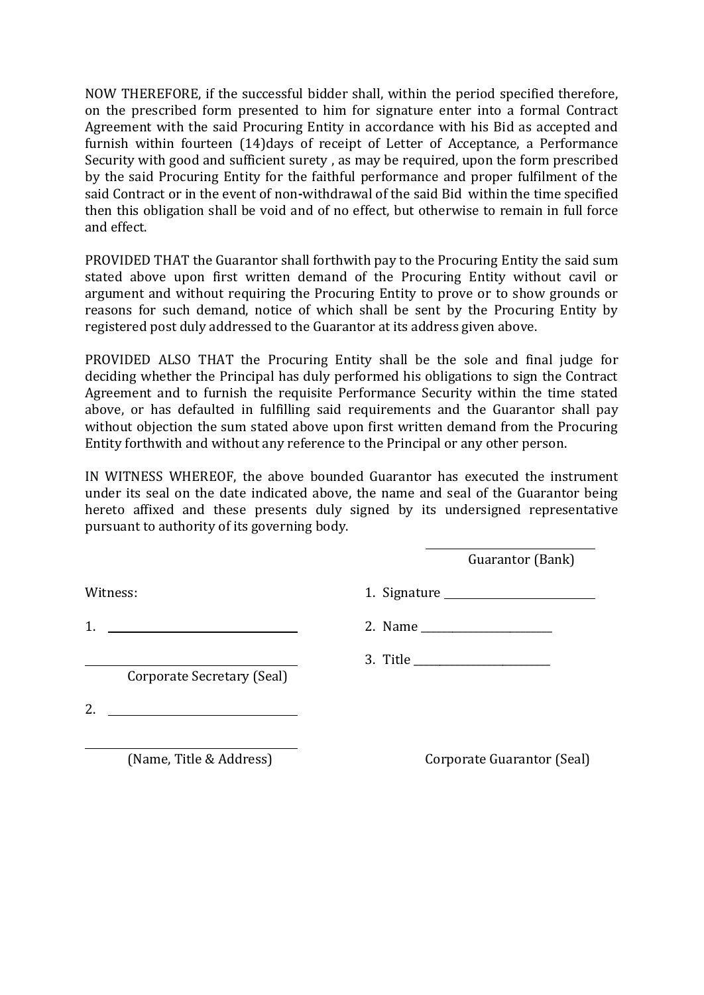NOW THEREFORE, if the successful bidder shall, within the period specified therefore, on the prescribed form presented to him for signature enter into a formal Contract Agreement with the said Procuring Entity in accordance with his Bid as accepted and furnish within fourteen (14)days of receipt of Letter of Acceptance, a Performance Security with good and sufficient surety , as may be required, upon the form prescribed by the said Procuring Entity for the faithful performance and proper fulfilment of the said Contract or in the event of non**-**withdrawal of the said Bid within the time specified then this obligation shall be void and of no effect, but otherwise to remain in full force and effect.

PROVIDED THAT the Guarantor shall forthwith pay to the Procuring Entity the said sum stated above upon first written demand of the Procuring Entity without cavil or argument and without requiring the Procuring Entity to prove or to show grounds or reasons for such demand, notice of which shall be sent by the Procuring Entity by registered post duly addressed to the Guarantor at its address given above.

PROVIDED ALSO THAT the Procuring Entity shall be the sole and final judge for deciding whether the Principal has duly performed his obligations to sign the Contract Agreement and to furnish the requisite Performance Security within the time stated above, or has defaulted in fulfilling said requirements and the Guarantor shall pay without objection the sum stated above upon first written demand from the Procuring Entity forthwith and without any reference to the Principal or any other person.

IN WITNESS WHEREOF, the above bounded Guarantor has executed the instrument under its seal on the date indicated above, the name and seal of the Guarantor being hereto affixed and these presents duly signed by its undersigned representative pursuant to authority of its governing body.

Guarantor (Bank)

Witness: 1. Signature 1. Signature

Corporate Secretary (Seal)

3. Title \_\_\_\_\_\_\_\_\_\_\_\_\_\_\_\_\_\_\_\_\_\_\_\_\_\_

2. Name

2.

(Name, Title & Address) Corporate Guarantor (Seal)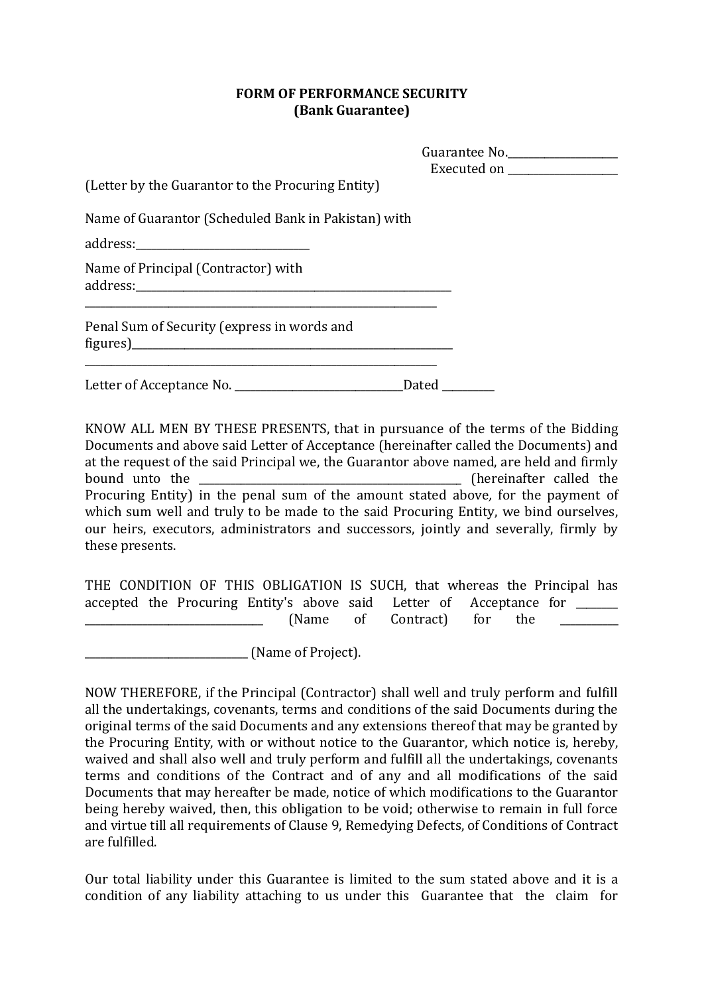#### **FORM OF PERFORMANCE SECURITY (Bank Guarantee)**

|                                                                                                                                                                                                                                                                               | Guarantee No.                 |
|-------------------------------------------------------------------------------------------------------------------------------------------------------------------------------------------------------------------------------------------------------------------------------|-------------------------------|
| (Letter by the Guarantor to the Procuring Entity)                                                                                                                                                                                                                             | Executed on _________________ |
| Name of Guarantor (Scheduled Bank in Pakistan) with                                                                                                                                                                                                                           |                               |
|                                                                                                                                                                                                                                                                               |                               |
| Name of Principal (Contractor) with                                                                                                                                                                                                                                           |                               |
| Penal Sum of Security (express in words and<br>figures) expansion and the set of the set of the set of the set of the set of the set of the set of the set of the set of the set of the set of the set of the set of the set of the set of the set of the set of the set of t |                               |
|                                                                                                                                                                                                                                                                               | Dated _______                 |

KNOW ALL MEN BY THESE PRESENTS, that in pursuance of the terms of the Bidding Documents and above said Letter of Acceptance (hereinafter called the Documents) and at the request of the said Principal we, the Guarantor above named, are held and firmly bound unto the **EXECUTE 10** is the contract of the contract of the called the second the second the second the second the second the second the second the second the second the second the second the second the second the s Procuring Entity) in the penal sum of the amount stated above*,* for the payment of which sum well and truly to be made to the said Procuring Entity, we bind ourselves, our heirs, executors, administrators and successors, jointly and severally, firmly by these presents.

THE CONDITION OF THIS OBLIGATION IS SUCH, that whereas the Principal has accepted the Procuring Entity's above said Letter of Acceptance for \_\_\_\_\_\_\_\_ (Name of Contract) for the

\_\_\_\_\_\_\_\_\_\_\_\_\_\_\_\_\_\_\_\_\_\_\_\_\_\_\_\_\_\_\_ (Name of Project).

NOW THEREFORE, if the Principal (Contractor) shall well and truly perform and fulfill all the undertakings, covenants, terms and conditions of the said Documents during the original terms of the said Documents and any extensions thereof that may be granted by the Procuring Entity, with or without notice to the Guarantor, which notice is, hereby, waived and shall also well and truly perform and fulfill all the undertakings, covenants terms and conditions of the Contract and of any and all modifications of the said Documents that may hereafter be made, notice of which modifications to the Guarantor being hereby waived, then, this obligation to be void; otherwise to remain in full force and virtue till all requirements of Clause 9, Remedying Defects, of Conditions of Contract are fulfilled.

Our total liability under this Guarantee is limited to the sum stated above and it is a condition of any liability attaching to us under this Guarantee that the claim for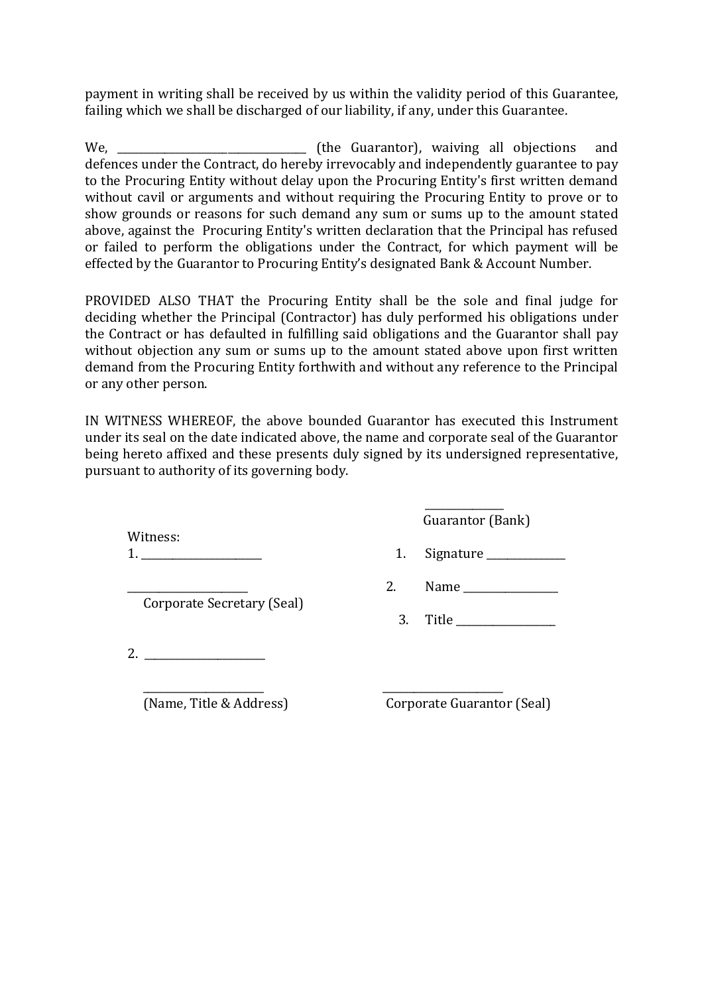payment in writing shall be received by us within the validity period of this Guarantee, failing which we shall be discharged of our liability, if any, under this Guarantee.

We, \_\_\_\_\_\_\_\_\_\_\_\_\_\_\_\_\_\_\_\_\_\_\_\_\_\_\_\_\_\_\_\_\_\_\_\_ (the Guarantor), waiving all objections and defences under the Contract, do hereby irrevocably and independently guarantee to pay to the Procuring Entity without delay upon the Procuring Entity's first written demand without cavil or arguments and without requiring the Procuring Entity to prove or to show grounds or reasons for such demand any sum or sums up to the amount stated above, against the Procuring Entity's written declaration that the Principal has refused or failed to perform the obligations under the Contract, for which payment will be effected by the Guarantor to Procuring Entity's designated Bank & Account Number.

PROVIDED ALSO THAT the Procuring Entity shall be the sole and final judge for deciding whether the Principal (Contractor) has duly performed his obligations under the Contract or has defaulted in fulfilling said obligations and the Guarantor shall pay without objection any sum or sums up to the amount stated above upon first written demand from the Procuring Entity forthwith and without any reference to the Principal or any other person.

IN WITNESS WHEREOF, the above bounded Guarantor has executed this Instrument under its seal on the date indicated above, the name and corporate seal of the Guarantor being hereto affixed and these presents duly signed by its undersigned representative, pursuant to authority of its governing body.

Witness:

Corporate Secretary (Seal)

2. \_\_\_\_\_\_\_\_\_\_\_\_\_\_\_\_\_\_\_\_\_\_\_

(Name, Title & Address) Corporate Guarantor (Seal)

\_\_\_\_\_\_\_\_\_\_\_\_\_\_\_\_\_\_\_\_\_\_\_ \_\_\_\_\_\_\_\_\_\_\_\_\_\_\_\_\_\_\_\_\_\_\_

Guarantor (Bank)

\_\_\_\_\_\_\_\_\_\_\_\_\_\_\_

- $1.$  Signature  $1.$  Signature
	- \_\_\_\_\_\_\_\_\_\_\_\_\_\_\_\_\_\_\_\_\_\_\_ 2. Name \_\_\_\_\_\_\_\_\_\_\_\_\_\_\_\_\_\_

3. Title \_\_\_\_\_\_\_\_\_\_\_\_\_\_\_\_\_\_\_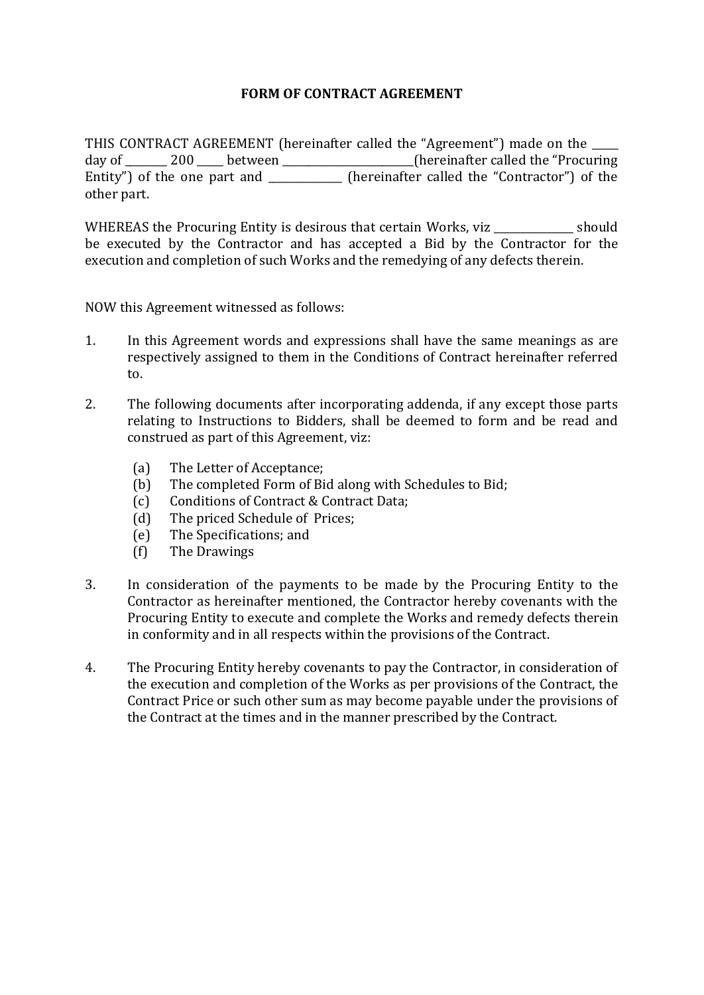#### **FORM OF CONTRACT AGREEMENT**

THIS CONTRACT AGREEMENT (hereinafter called the "Agreement") made on the \_\_\_\_\_ day of 200 between the contraction of the "Procuring" between the "Procuring the "Procuring" called the "Procuring Entity") of the one part and  $\qquad \qquad$  (hereinafter called the "Contractor") of the other part.

WHEREAS the Procuring Entity is desirous that certain Works, viz should be executed by the Contractor and has accepted a Bid by the Contractor for the execution and completion of such Works and the remedying of any defects therein.

NOW this Agreement witnessed as follows:

- 1. In this Agreement words and expressions shall have the same meanings as are respectively assigned to them in the Conditions of Contract hereinafter referred to.
- 2. The following documents after incorporating addenda, if any except those parts relating to Instructions to Bidders, shall be deemed to form and be read and construed as part of this Agreement, viz:
	- (a) The Letter of Acceptance;
	- (b) The completed Form of Bid along with Schedules to Bid;
	- (c) Conditions of Contract & Contract Data;
	- (d) The priced Schedule of Prices;
	- (e) The Specifications; and
	- (f) The Drawings
- 3. In consideration of the payments to be made by the Procuring Entity to the Contractor as hereinafter mentioned, the Contractor hereby covenants with the Procuring Entity to execute and complete the Works and remedy defects therein in conformity and in all respects within the provisions of the Contract.
- 4. The Procuring Entity hereby covenants to pay the Contractor, in consideration of the execution and completion of the Works as per provisions of the Contract, the Contract Price or such other sum as may become payable under the provisions of the Contract at the times and in the manner prescribed by the Contract.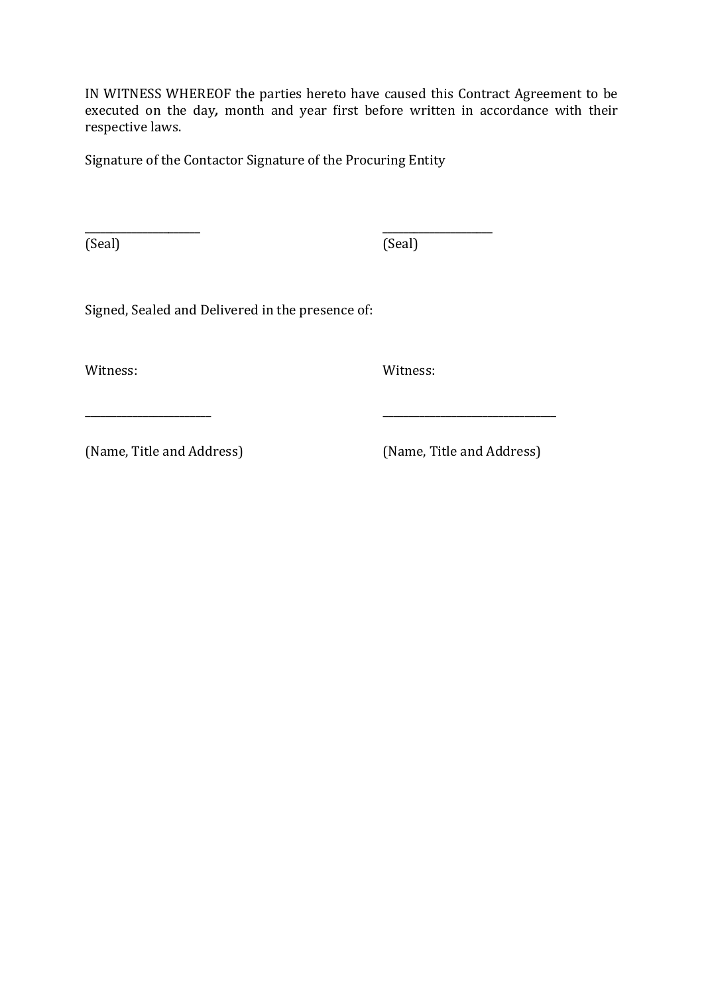IN WITNESS WHEREOF the parties hereto have caused this Contract Agreement to be executed on the day*,* month and year first before written in accordance with their respective laws.

Signature of the Contactor Signature of the Procuring Entity

\_\_\_\_\_\_\_\_\_\_\_\_\_\_\_\_\_\_\_\_\_\_ \_\_\_\_\_\_\_\_\_\_\_\_\_\_\_\_\_\_\_\_\_

(Seal) (Seal)

Signed, Sealed and Delivered in the presence of:

Witness: Witness:

**\_\_\_\_\_\_\_\_\_\_\_\_\_\_\_\_\_\_\_\_\_\_\_\_ \_\_\_\_\_\_\_\_\_\_\_\_\_\_\_\_\_\_\_\_\_\_\_\_\_\_\_\_\_\_\_\_\_**

(Name, Title and Address) (Name, Title and Address)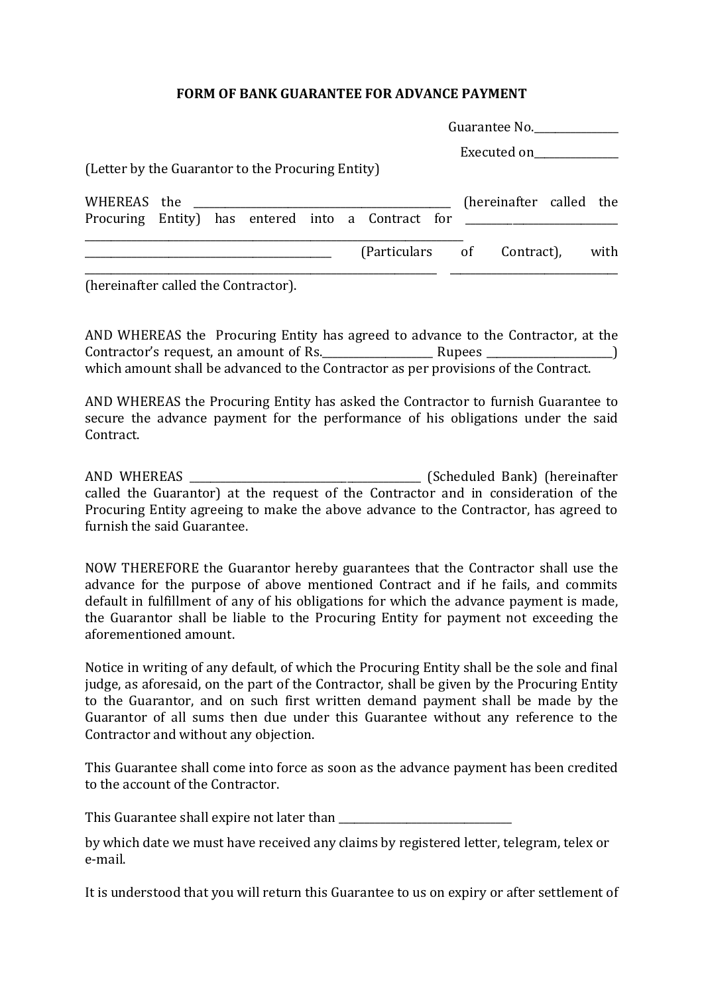#### **FORM OF BANK GUARANTEE FOR ADVANCE PAYMENT**

|                                                                                                 |  |  |  |                            |  | Guarantee No.           |  |  |
|-------------------------------------------------------------------------------------------------|--|--|--|----------------------------|--|-------------------------|--|--|
| (Letter by the Guarantor to the Procuring Entity)                                               |  |  |  |                            |  | Executed on             |  |  |
| WHEREAS the<br>Procuring Entity) has entered into a Contract for ______________________________ |  |  |  |                            |  | (hereinafter called the |  |  |
|                                                                                                 |  |  |  | (Particulars of Contract), |  | with                    |  |  |
| (hereinafter called the Contractor).                                                            |  |  |  |                            |  |                         |  |  |

AND WHEREAS the Procuring Entity has agreed to advance to the Contractor, at the Contractor's request, an amount of Rs.\_\_\_\_\_\_\_\_\_\_\_\_\_\_\_\_\_\_\_\_\_ Rupees \_\_\_\_\_\_\_\_\_\_\_\_\_\_\_\_\_\_\_\_\_\_\_\_) which amount shall be advanced to the Contractor as per provisions of the Contract.

AND WHEREAS the Procuring Entity has asked the Contractor to furnish Guarantee to secure the advance payment for the performance of his obligations under the said Contract.

AND WHEREAS \_\_\_\_\_\_\_\_\_\_\_\_\_\_\_\_\_\_\_\_\_\_\_\_\_\_\_\_\_\_\_\_\_\_\_\_\_\_\_\_\_\_\_\_ (Scheduled Bank) (hereinafter called the Guarantor) at the request of the Contractor and in consideration of the Procuring Entity agreeing to make the above advance to the Contractor, has agreed to furnish the said Guarantee.

NOW THEREFORE the Guarantor hereby guarantees that the Contractor shall use the advance for the purpose of above mentioned Contract and if he fails, and commits default in fulfillment of any of his obligations for which the advance payment is made, the Guarantor shall be liable to the Procuring Entity for payment not exceeding the aforementioned amount.

Notice in writing of any default, of which the Procuring Entity shall be the sole and final judge, as aforesaid, on the part of the Contractor, shall be given by the Procuring Entity to the Guarantor, and on such first written demand payment shall be made by the Guarantor of all sums then due under this Guarantee without any reference to the Contractor and without any objection.

This Guarantee shall come into force as soon as the advance payment has been credited to the account of the Contractor.

This Guarantee shall expire not later than \_\_\_\_\_\_\_\_\_\_\_\_\_\_\_\_\_\_\_\_\_\_\_\_\_\_\_\_\_\_\_\_\_

by which date we must have received any claims by registered letter, telegram, telex or e-mail.

It is understood that you will return this Guarantee to us on expiry or after settlement of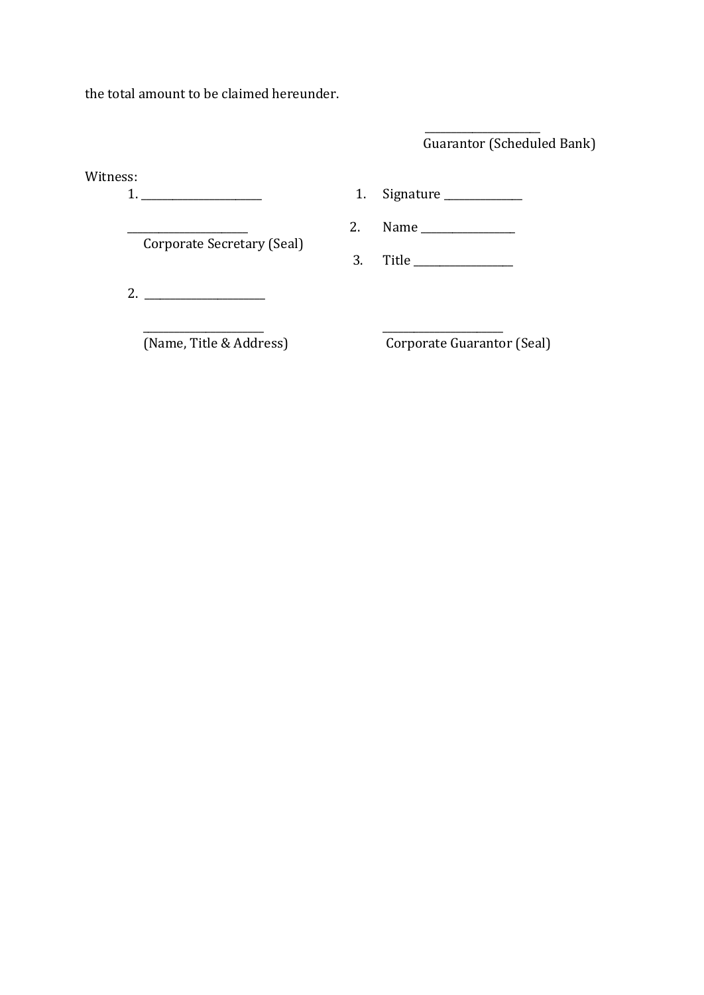the total amount to be claimed hereunder.

\_\_\_\_\_\_\_\_\_\_\_\_\_\_\_\_\_\_\_\_\_\_ Guarantor (Scheduled Bank)

| Witness: |                            | 1. | $Sigma$ = $\frac{1}{2}$ = $\frac{1}{2}$ = $\frac{1}{2}$ = $\frac{1}{2}$ = $\frac{1}{2}$ = $\frac{1}{2}$ = $\frac{1}{2}$ = $\frac{1}{2}$ = $\frac{1}{2}$ = $\frac{1}{2}$ = $\frac{1}{2}$ = $\frac{1}{2}$ = $\frac{1}{2}$ = $\frac{1}{2}$ = $\frac{1}{2}$ = $\frac{1}{2}$ = $\frac{1}{2}$ = $\frac{1}{2}$ = |
|----------|----------------------------|----|-----------------------------------------------------------------------------------------------------------------------------------------------------------------------------------------------------------------------------------------------------------------------------------------------------------|
|          |                            | 2. |                                                                                                                                                                                                                                                                                                           |
|          | Corporate Secretary (Seal) | 3. | Title _______________                                                                                                                                                                                                                                                                                     |
|          | 2. $\qquad \qquad$         |    |                                                                                                                                                                                                                                                                                                           |
|          | (Name, Title & Address)    |    | Corporate Guarantor (Seal)                                                                                                                                                                                                                                                                                |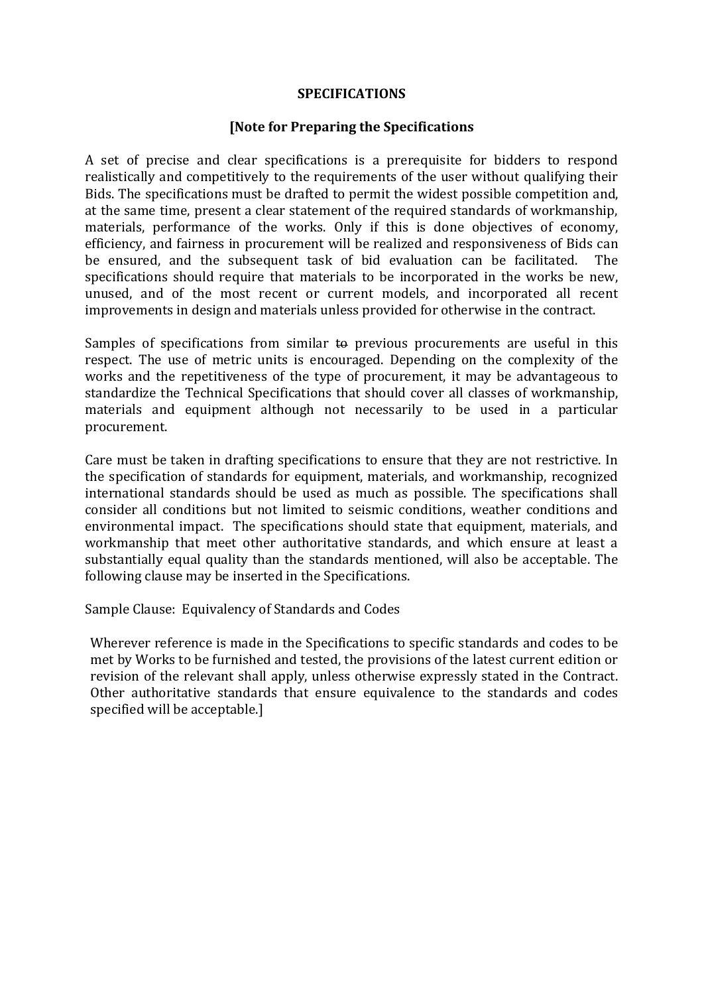#### **SPECIFICATIONS**

#### **[Note for Preparing the Specifications**

A set of precise and clear specifications is a prerequisite for bidders to respond realistically and competitively to the requirements of the user without qualifying their Bids. The specifications must be drafted to permit the widest possible competition and, at the same time, present a clear statement of the required standards of workmanship, materials, performance of the works. Only if this is done objectives of economy, efficiency, and fairness in procurement will be realized and responsiveness of Bids can be ensured, and the subsequent task of bid evaluation can be facilitated. The specifications should require that materials to be incorporated in the works be new, unused, and of the most recent or current models, and incorporated all recent improvements in design and materials unless provided for otherwise in the contract.

Samples of specifications from similar to previous procurements are useful in this respect. The use of metric units is encouraged. Depending on the complexity of the works and the repetitiveness of the type of procurement, it may be advantageous to standardize the Technical Specifications that should cover all classes of workmanship, materials and equipment although not necessarily to be used in a particular procurement.

Care must be taken in drafting specifications to ensure that they are not restrictive. In the specification of standards for equipment, materials, and workmanship, recognized international standards should be used as much as possible. The specifications shall consider all conditions but not limited to seismic conditions, weather conditions and environmental impact. The specifications should state that equipment, materials, and workmanship that meet other authoritative standards, and which ensure at least a substantially equal quality than the standards mentioned, will also be acceptable. The following clause may be inserted in the Specifications.

Sample Clause: Equivalency of Standards and Codes

Wherever reference is made in the Specifications to specific standards and codes to be met by Works to be furnished and tested, the provisions of the latest current edition or revision of the relevant shall apply, unless otherwise expressly stated in the Contract. Other authoritative standards that ensure equivalence to the standards and codes specified will be acceptable.]